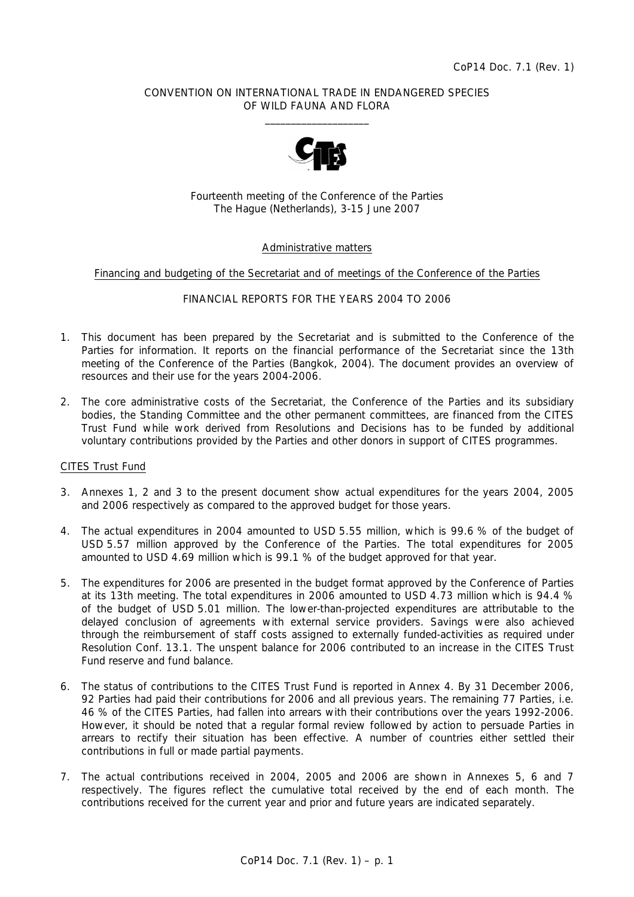### CONVENTION ON INTERNATIONAL TRADE IN ENDANGERED SPECIES OF WILD FAUNA AND FLORA  $\frac{1}{2}$  , and the set of the set of the set of the set of the set of the set of the set of the set of the set of the set of the set of the set of the set of the set of the set of the set of the set of the set of the set



Fourteenth meeting of the Conference of the Parties The Hague (Netherlands), 3-15 June 2007

### Administrative matters

#### Financing and budgeting of the Secretariat and of meetings of the Conference of the Parties

### FINANCIAL REPORTS FOR THE YEARS 2004 TO 2006

- 1. This document has been prepared by the Secretariat and is submitted to the Conference of the Parties for information. It reports on the financial performance of the Secretariat since the 13th meeting of the Conference of the Parties (Bangkok, 2004). The document provides an overview of resources and their use for the years 2004-2006.
- 2. The core administrative costs of the Secretariat, the Conference of the Parties and its subsidiary bodies, the Standing Committee and the other permanent committees, are financed from the CITES Trust Fund while work derived from Resolutions and Decisions has to be funded by additional voluntary contributions provided by the Parties and other donors in support of CITES programmes.

### CITES Trust Fund

- 3. Annexes 1, 2 and 3 to the present document show actual expenditures for the years 2004, 2005 and 2006 respectively as compared to the approved budget for those years.
- 4. The actual expenditures in 2004 amounted to USD 5.55 million, which is 99.6 % of the budget of USD 5.57 million approved by the Conference of the Parties. The total expenditures for 2005 amounted to USD 4.69 million which is 99.1 % of the budget approved for that year.
- 5. The expenditures for 2006 are presented in the budget format approved by the Conference of Parties at its 13th meeting. The total expenditures in 2006 amounted to USD 4.73 million which is 94.4 % of the budget of USD 5.01 million. The lower-than-projected expenditures are attributable to the delayed conclusion of agreements with external service providers. Savings were also achieved through the reimbursement of staff costs assigned to externally funded-activities as required under Resolution Conf. 13.1. The unspent balance for 2006 contributed to an increase in the CITES Trust Fund reserve and fund balance.
- 6. The status of contributions to the CITES Trust Fund is reported in Annex 4. By 31 December 2006, 92 Parties had paid their contributions for 2006 and all previous years. The remaining 77 Parties, i.e. 46 % of the CITES Parties, had fallen into arrears with their contributions over the years 1992-2006. However, it should be noted that a regular formal review followed by action to persuade Parties in arrears to rectify their situation has been effective. A number of countries either settled their contributions in full or made partial payments.
- 7. The actual contributions received in 2004, 2005 and 2006 are shown in Annexes 5, 6 and 7 respectively. The figures reflect the cumulative total received by the end of each month. The contributions received for the current year and prior and future years are indicated separately.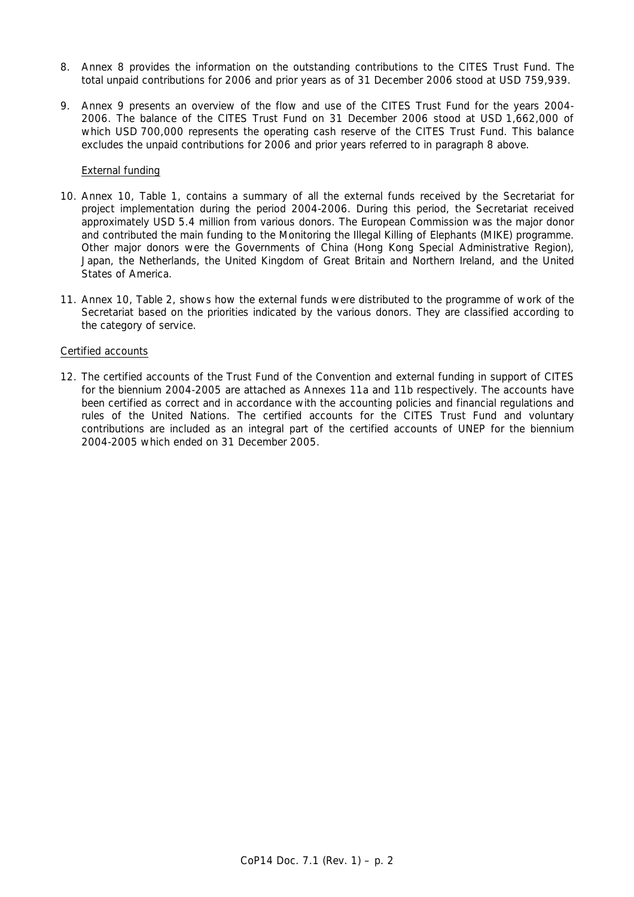- 8. Annex 8 provides the information on the outstanding contributions to the CITES Trust Fund. The total unpaid contributions for 2006 and prior years as of 31 December 2006 stood at USD 759,939.
- 9. Annex 9 presents an overview of the flow and use of the CITES Trust Fund for the years 2004- 2006. The balance of the CITES Trust Fund on 31 December 2006 stood at USD 1,662,000 of which USD 700,000 represents the operating cash reserve of the CITES Trust Fund. This balance excludes the unpaid contributions for 2006 and prior years referred to in paragraph 8 above.

## External funding

- 10. Annex 10, Table 1, contains a summary of all the external funds received by the Secretariat for project implementation during the period 2004-2006. During this period, the Secretariat received approximately USD 5.4 million from various donors. The European Commission was the major donor and contributed the main funding to the Monitoring the Illegal Killing of Elephants (MIKE) programme. Other major donors were the Governments of China (Hong Kong Special Administrative Region), Japan, the Netherlands, the United Kingdom of Great Britain and Northern Ireland, and the United States of America.
- 11. Annex 10, Table 2, shows how the external funds were distributed to the programme of work of the Secretariat based on the priorities indicated by the various donors. They are classified according to the category of service.

### Certified accounts

12. The certified accounts of the Trust Fund of the Convention and external funding in support of CITES for the biennium 2004-2005 are attached as Annexes 11a and 11b respectively. The accounts have been certified as correct and in accordance with the accounting policies and financial regulations and rules of the United Nations. The certified accounts for the CITES Trust Fund and voluntary contributions are included as an integral part of the certified accounts of UNEP for the biennium 2004-2005 which ended on 31 December 2005.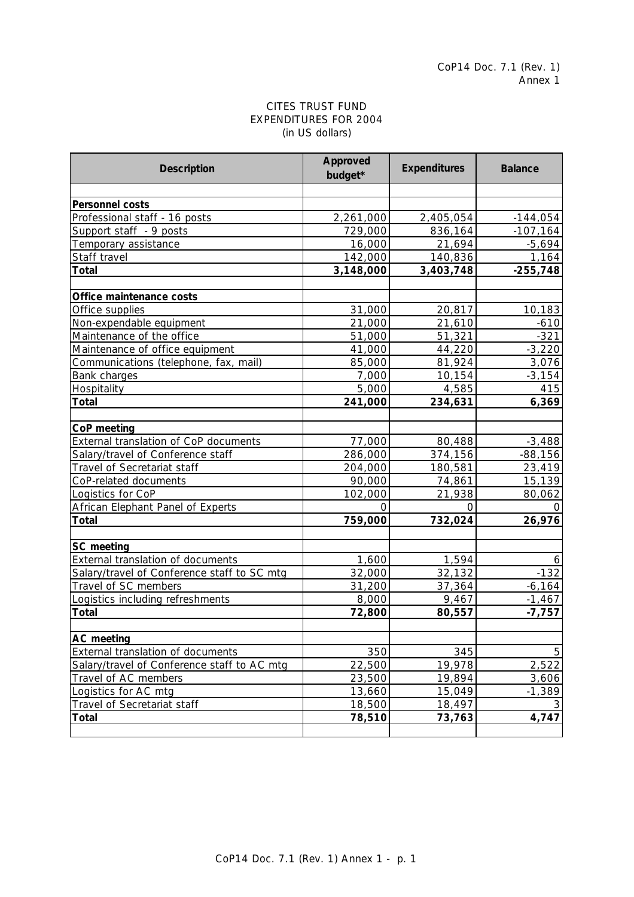## CITES TRUST FUND EXPENDITURES FOR 2004 (in US dollars)

| <b>Description</b>                          | Approved<br>budget* | <b>Expenditures</b> | <b>Balance</b> |
|---------------------------------------------|---------------------|---------------------|----------------|
|                                             |                     |                     |                |
| Personnel costs                             |                     |                     |                |
| Professional staff - 16 posts               | 2,261,000           | 2,405,054           | $-144,054$     |
| Support staff - 9 posts                     | 729,000             | 836,164             | $-107,164$     |
| Temporary assistance                        | 16,000              | 21,694              | $-5,694$       |
| Staff travel                                | 142,000             | 140,836             | 1,164          |
| <b>Total</b>                                | 3,148,000           | 3,403,748           | $-255,748$     |
|                                             |                     |                     |                |
| Office maintenance costs                    |                     |                     |                |
| Office supplies                             | 31,000              | 20,817              | 10,183         |
| Non-expendable equipment                    | 21,000              | 21,610              | $-610$         |
| Maintenance of the office                   | 51,000              | 51,321              | $-321$         |
| Maintenance of office equipment             | 41,000              | 44,220              | $-3,220$       |
| Communications (telephone, fax, mail)       | 85,000              | 81,924              | 3,076          |
| Bank charges                                | 7,000               | 10,154              | $-3,154$       |
| Hospitality                                 | 5,000               | 4,585               | 415            |
| Total                                       | 241,000             | 234,631             | 6,369          |
|                                             |                     |                     |                |
| CoP meeting                                 |                     |                     |                |
| External translation of CoP documents       | 77,000              | 80,488              | $-3,488$       |
| Salary/travel of Conference staff           | 286,000             | 374,156             | $-88,156$      |
| Travel of Secretariat staff                 | 204,000             | 180,581             | 23,419         |
| CoP-related documents                       | 90,000              | 74,861              | 15,139         |
| Logistics for CoP                           | 102,000             | 21,938              | 80,062         |
| African Elephant Panel of Experts           | $\Omega$            | $\Omega$            | $\Omega$       |
| <b>Total</b>                                | 759,000             | 732,024             | 26,976         |
| SC meeting                                  |                     |                     |                |
| External translation of documents           | 1,600               | 1,594               | 6              |
| Salary/travel of Conference staff to SC mtg | 32,000              | 32,132              | $-132$         |
| Travel of SC members                        | 31,200              | 37,364              | $-6,164$       |
| Logistics including refreshments            | 8,000               | 9,467               | $-1,467$       |
| <b>Total</b>                                | 72,800              | 80,557              | $-7,757$       |
|                                             |                     |                     |                |
| <b>AC</b> meeting                           |                     |                     |                |
| External translation of documents           | 350                 | 345                 | 5              |
| Salary/travel of Conference staff to AC mtg | 22,500              | 19,978              | 2,522          |
| Travel of AC members                        | 23,500              | 19,894              | 3,606          |
| Logistics for AC mtg                        | 13,660              | 15,049              | $-1,389$       |
| Travel of Secretariat staff                 | 18,500              | 18,497              | 3              |
| <b>Total</b>                                | 78,510              | 73,763              | 4,747          |
|                                             |                     |                     |                |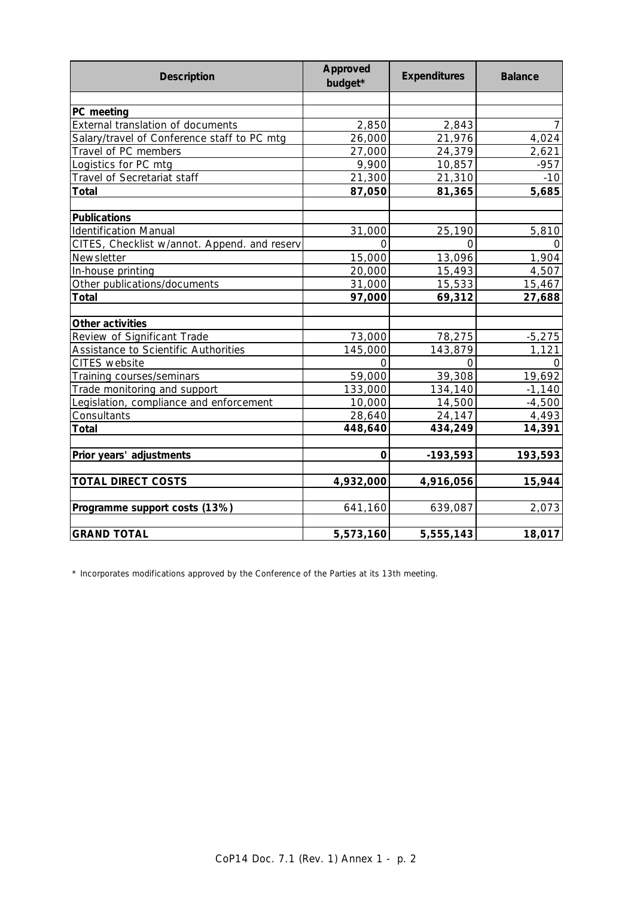| <b>Description</b>                           | Approved<br>budget* | <b>Expenditures</b> | <b>Balance</b> |
|----------------------------------------------|---------------------|---------------------|----------------|
|                                              |                     |                     |                |
| PC meeting                                   |                     |                     |                |
| External translation of documents            | 2,850               | 2,843               |                |
| Salary/travel of Conference staff to PC mtg  | 26,000              | 21,976              | 4,024          |
| Travel of PC members                         | 27,000              | 24,379              | 2,621          |
| Logistics for PC mtg                         | 9,900               | 10,857              | $-957$         |
| Travel of Secretariat staff                  | 21,300              | 21,310              | $-10$          |
| <b>Total</b>                                 | 87,050              | 81,365              | 5,685          |
| <b>Publications</b>                          |                     |                     |                |
| <b>Identification Manual</b>                 | 31,000              | 25,190              | 5,810          |
| CITES, Checklist w/annot. Append. and reserv | O                   | $\Omega$            | 0              |
| Newsletter                                   | 15,000              | 13,096              | 1,904          |
| In-house printing                            | 20,000              | 15,493              | 4,507          |
| Other publications/documents                 | 31,000              | 15,533              | 15,467         |
| <b>Total</b>                                 | 97,000              | 69,312              | 27,688         |
| Other activities                             |                     |                     |                |
| Review of Significant Trade                  | 73,000              | 78,275              | $-5,275$       |
| Assistance to Scientific Authorities         | 145,000             | 143,879             | 1,121          |
| CITES website                                | $\Omega$            | O                   | 0              |
| Training courses/seminars                    | 59,000              | 39,308              | 19,692         |
| Trade monitoring and support                 | 133,000             | 134,140             | $-1,140$       |
| Legislation, compliance and enforcement      | 10,000              | 14,500              | $-4,500$       |
| Consultants                                  | 28,640              | 24,147              | 4,493          |
| <b>Total</b>                                 | 448,640             | 434,249             | 14,391         |
| Prior years' adjustments                     | 0                   | $-193,593$          | 193,593        |
| <b>TOTAL DIRECT COSTS</b>                    | 4,932,000           | 4,916,056           | 15,944         |
| Programme support costs (13%)                | 641,160             | 639,087             | 2,073          |
| <b>GRAND TOTAL</b>                           | 5,573,160           | 5,555,143           | 18,017         |

\* Incorporates modifications approved by the Conference of the Parties at its 13th meeting.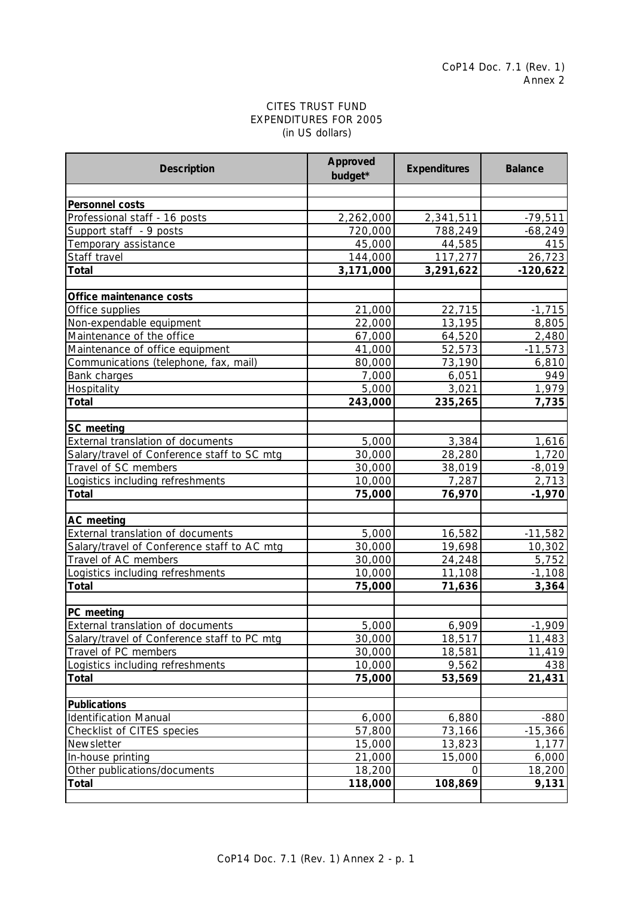# EXPENDITURES FOR 2005 CITES TRUST FUND (in US dollars)

| <b>Description</b>                                     | Approved<br>budget* | <b>Expenditures</b> | <b>Balance</b> |
|--------------------------------------------------------|---------------------|---------------------|----------------|
|                                                        |                     |                     |                |
| Personnel costs                                        |                     |                     |                |
| Professional staff - 16 posts                          | 2,262,000           | 2,341,511           | $-79,511$      |
| Support staff - 9 posts                                | 720,000             | 788,249             | $-68,249$      |
| Temporary assistance                                   | 45,000              | 44,585              | 415            |
| Staff travel                                           | 144,000             | 117,277             | 26,723         |
| <b>Total</b>                                           | 3,171,000           | 3,291,622           | $-120,622$     |
| Office maintenance costs                               |                     |                     |                |
| Office supplies                                        | 21,000              | 22,715              | $-1,715$       |
| Non-expendable equipment                               | 22,000              | 13,195              | 8,805          |
| Maintenance of the office                              | 67,000              | 64,520              | 2,480          |
| Maintenance of office equipment                        | 41,000              | $\overline{52,573}$ | $-11,573$      |
| Communications (telephone, fax, mail)                  | 80,000              | 73,190              | 6,810          |
| Bank charges                                           | 7,000               | 6,051               | 949            |
| Hospitality                                            | 5,000               | 3,021               | 1,979          |
| <b>Total</b>                                           | 243,000             | 235,265             | 7,735          |
| SC meeting                                             |                     |                     |                |
| External translation of documents                      | 5,000               | 3,384               | 1,616          |
| Salary/travel of Conference staff to SC mtg            | 30,000              | 28,280              | 1,720          |
| Travel of SC members                                   | 30,000              | 38,019              | $-8,019$       |
| Logistics including refreshments                       | 10,000              | 7,287               | 2,713          |
| Total                                                  | 75,000              | 76,970              | $-1,970$       |
|                                                        |                     |                     |                |
| <b>AC</b> meeting<br>External translation of documents | 5,000               | 16,582              | $-11,582$      |
| Salary/travel of Conference staff to AC mtg            | 30,000              | 19,698              | 10,302         |
| Travel of AC members                                   |                     | 24,248              | 5,752          |
|                                                        | 30,000<br>10,000    | 11,108              | $-1,108$       |
| Logistics including refreshments                       |                     | 71,636              |                |
| Total                                                  | 75,000              |                     | 3,364          |
| PC meeting                                             |                     |                     |                |
| External translation of documents                      | 5,000               | 6,909               | $-1,909$       |
| Salary/travel of Conference staff to PC mtg            | 30,000              | 18,517              | 11,483         |
| Travel of PC members                                   | 30,000              | 18,581              | 11,419         |
| Logistics including refreshments                       | 10,000              | 9,562               | 438            |
| Total                                                  | 75,000              | 53,569              | 21,431         |
| <b>Publications</b>                                    |                     |                     |                |
| <b>Identification Manual</b>                           | 6,000               | 6,880               | $-880$         |
| Checklist of CITES species                             | 57,800              | 73,166              | $-15,366$      |
| Newsletter                                             | 15,000              | 13,823              | 1,177          |
| In-house printing                                      | 21,000              | 15,000              | 6,000          |
| Other publications/documents                           | 18,200              | 0                   | 18,200         |
| Total                                                  | 118,000             | 108,869             | 9,131          |
|                                                        |                     |                     |                |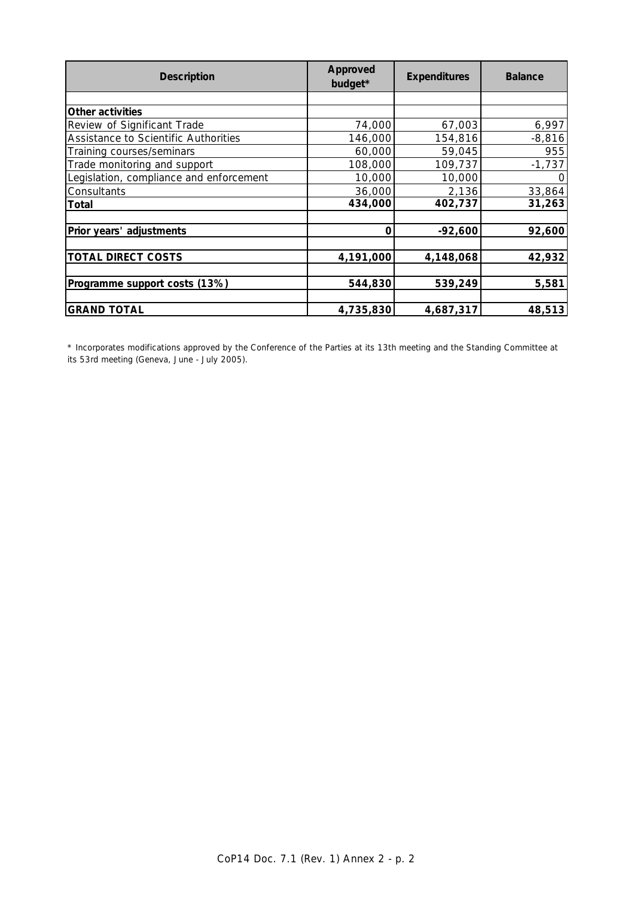| <b>Description</b>                      | Approved<br>budget* | <b>Expenditures</b> | <b>Balance</b> |
|-----------------------------------------|---------------------|---------------------|----------------|
|                                         |                     |                     |                |
| Other activities                        |                     |                     |                |
| Review of Significant Trade             | 74,000              | 67,003              | 6,997          |
| Assistance to Scientific Authorities    | 146,000             | 154,816             | $-8,816$       |
| Training courses/seminars               | 60,000              | 59,045              | 955            |
| Trade monitoring and support            | 108,000             | 109,737             | $-1,737$       |
| Legislation, compliance and enforcement | 10,000              | 10,000              |                |
| Consultants                             | 36,000              | 2,136               | 33,864         |
| Total                                   | 434,000             | 402,737             | 31,263         |
|                                         |                     |                     |                |
| Prior years' adjustments                | 0                   | $-92,600$           | 92,600         |
|                                         |                     |                     |                |
| <b>TOTAL DIRECT COSTS</b>               | 4,191,000           | 4,148,068           | 42,932         |
|                                         |                     |                     |                |
| Programme support costs (13%)           | 544,830             | 539,249             | 5,581          |
|                                         |                     |                     |                |
| <b>GRAND TOTAL</b>                      | 4,735,830           | 4,687,317           | 48,513         |

\* Incorporates modifications approved by the Conference of the Parties at its 13th meeting and the Standing Committee at its 53rd meeting (Geneva, June - July 2005).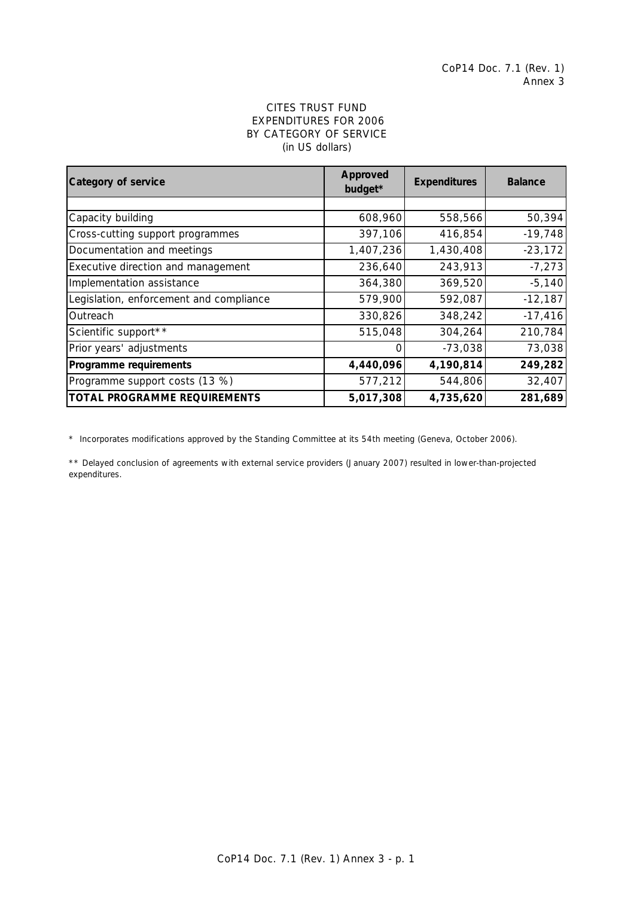## EXPENDITURES FOR 2006 BY CATEGORY OF SERVICE (in US dollars) CITES TRUST FUND

| Category of service                     | Approved<br><b>Expenditures</b><br>budget* |           | <b>Balance</b> |
|-----------------------------------------|--------------------------------------------|-----------|----------------|
|                                         |                                            |           |                |
| Capacity building                       | 608,960                                    | 558,566   | 50,394         |
| Cross-cutting support programmes        | 397,106                                    | 416,854   | $-19,748$      |
| Documentation and meetings              | 1,407,236                                  | 1,430,408 | $-23,172$      |
| Executive direction and management      | 236,640                                    | 243,913   | $-7,273$       |
| Implementation assistance               | 364,380                                    | 369,520   | $-5,140$       |
| Legislation, enforcement and compliance | 579,900                                    | 592,087   | $-12,187$      |
| Outreach                                | 330,826                                    | 348,242   | $-17,416$      |
| Scientific support**                    | 515,048                                    | 304,264   | 210,784        |
| Prior years' adjustments                | Ω                                          | $-73,038$ | 73,038         |
| Programme requirements                  | 4,440,096                                  | 4,190,814 | 249,282        |
| Programme support costs (13 %)          | 577,212                                    | 544,806   | 32,407         |
| <b>TOTAL PROGRAMME REQUIREMENTS</b>     | 5,017,308                                  | 4,735,620 | 281,689        |

\* Incorporates modifications approved by the Standing Committee at its 54th meeting (Geneva, October 2006).

\*\* Delayed conclusion of agreements with external service providers (January 2007) resulted in lower-than-projected expenditures.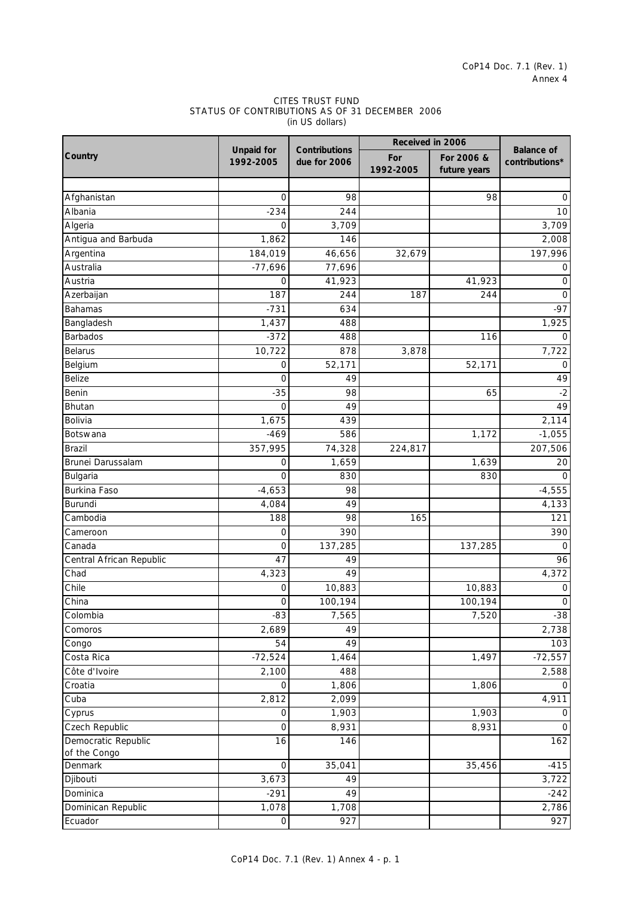#### (in US dollars) CITES TRUST FUND STATUS OF CONTRIBUTIONS AS OF 31 DECEMBER 2006

|                          |                                |                               | Received in 2006 |                            |                                     |
|--------------------------|--------------------------------|-------------------------------|------------------|----------------------------|-------------------------------------|
| Country                  | <b>Unpaid for</b><br>1992-2005 | Contributions<br>due for 2006 | For<br>1992-2005 | For 2006 &<br>future years | <b>Balance of</b><br>contributions* |
|                          |                                |                               |                  |                            |                                     |
| Afghanistan              | O                              | 98                            |                  | 98                         | 0                                   |
| Albania                  | $-234$                         | 244                           |                  |                            | 10                                  |
| Algeria                  | 0                              | 3,709                         |                  |                            | 3,709                               |
| Antigua and Barbuda      | 1,862                          | 146                           |                  |                            | 2,008                               |
| Argentina                | 184,019                        | 46,656                        | 32,679           |                            | 197,996                             |
| Australia                | $-77,696$                      | 77,696                        |                  |                            | 0                                   |
| Austria                  | $\Omega$                       | 41,923                        |                  | 41,923                     | 0                                   |
| Azerbaijan               | 187                            | 244                           | 187              | 244                        | 0                                   |
| Bahamas                  | $-731$                         | 634                           |                  |                            | $-97$                               |
| Bangladesh               | 1,437                          | 488                           |                  |                            | 1,925                               |
| <b>Barbados</b>          | $-372$                         | 488                           |                  | 116                        | 0                                   |
| <b>Belarus</b>           | 10,722                         | 878                           | 3,878            |                            | 7,722                               |
| Belgium                  | 0                              | 52,171                        |                  | 52,171                     | 0                                   |
| Belize                   | 0                              | 49                            |                  |                            | 49                                  |
| Benin                    | $-35$                          | 98                            |                  | 65                         | $-2$                                |
| Bhutan                   | 0                              | 49                            |                  |                            | 49                                  |
| Bolivia                  | 1,675                          | 439                           |                  |                            | 2,114                               |
| Botswana                 | $-469$                         | 586                           |                  | 1,172                      | $-1,055$                            |
| <b>Brazil</b>            | 357,995                        | $\overline{74,328}$           | 224,817          |                            | 207,506                             |
| Brunei Darussalam        | 0                              | 1,659                         |                  | 1,639                      | 20                                  |
| Bulgaria                 | 0                              | 830                           |                  | 830                        | 0                                   |
| <b>Burkina Faso</b>      | $-4,653$                       | 98                            |                  |                            | $-4,555$                            |
| Burundi                  | 4,084                          | 49                            |                  |                            | 4,133                               |
| Cambodia                 | 188                            | 98                            | 165              |                            | 121                                 |
| Cameroon                 | 0                              | 390                           |                  |                            | 390                                 |
| Canada                   | $\mathbf 0$                    | 137,285                       |                  | 137,285                    | 0                                   |
| Central African Republic | 47                             | 49                            |                  |                            | 96                                  |
| Chad                     | 4,323                          | 49                            |                  |                            | 4,372                               |
| Chile                    |                                | 10,883                        |                  |                            |                                     |
|                          | 0                              |                               |                  | 10,883                     | 0                                   |
| China                    | 0                              | 100,194                       |                  | 100,194                    | $\mathbf 0$                         |
| Colombia                 | -83                            | 7,565                         |                  | 7,520                      | $-38$                               |
| Comoros                  | 2,689<br>54                    | 49<br>49                      |                  |                            | 2,738<br>103                        |
| Congo                    |                                |                               |                  |                            |                                     |
| Costa Rica               | $-72,524$                      | 1,464                         |                  | 1,497                      | $-72,557$                           |
| Côte d'Ivoire            | 2,100                          | 488                           |                  |                            | 2,588                               |
| Croatia                  | 0                              | 1,806                         |                  | 1,806                      | O                                   |
| Cuba                     | 2,812                          | 2,099                         |                  |                            | 4,911                               |
| Cyprus                   | $\mathbf 0$                    | 1,903                         |                  | 1,903                      | 0                                   |
| <b>Czech Republic</b>    | $\mathbf 0$                    | 8,931                         |                  | 8,931                      | $\overline{O}$                      |
| Democratic Republic      | 16                             | 146                           |                  |                            | 162                                 |
| of the Congo<br>Denmark  | $\mathbf 0$                    | 35,041                        |                  | 35,456                     | $-415$                              |
| Djibouti                 | 3,673                          | 49                            |                  |                            | 3,722                               |
| Dominica                 | $-291$                         | 49                            |                  |                            | $-242$                              |
|                          |                                |                               |                  |                            |                                     |
| Dominican Republic       | 1,078                          | 1,708                         |                  |                            | 2,786                               |
| Ecuador                  | $\mathsf{O}\xspace$            | 927                           |                  |                            | 927                                 |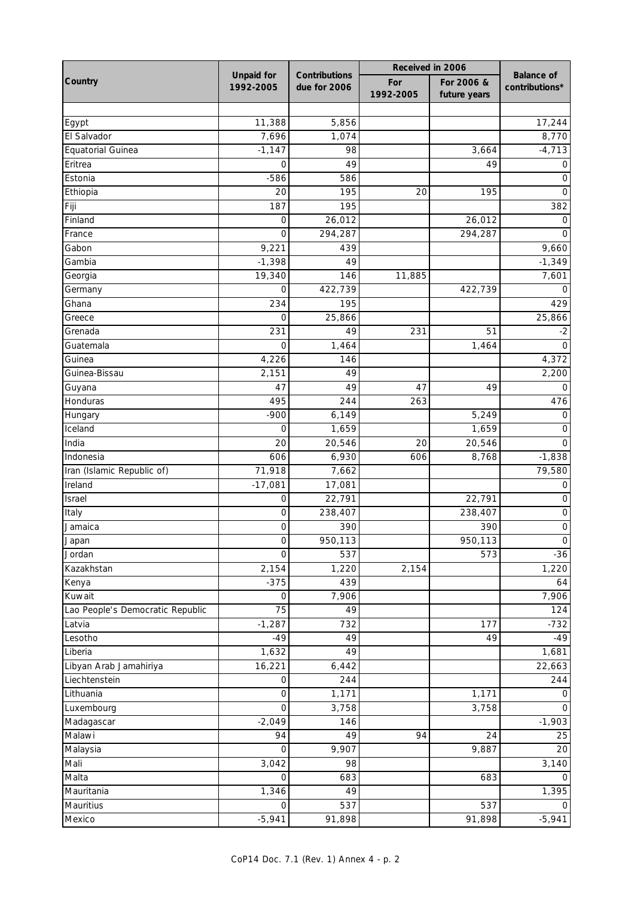|                                  |                                |                               | Received in 2006 |                            |                                     |
|----------------------------------|--------------------------------|-------------------------------|------------------|----------------------------|-------------------------------------|
| Country                          | <b>Unpaid for</b><br>1992-2005 | Contributions<br>due for 2006 | For<br>1992-2005 | For 2006 &<br>future years | <b>Balance</b> of<br>contributions* |
|                                  |                                |                               |                  |                            |                                     |
| Egypt                            | 11,388                         | 5,856                         |                  |                            | 17,244                              |
| El Salvador                      | 7,696                          | 1,074                         |                  |                            | 8,770                               |
| Equatorial Guinea                | $-1,147$                       | 98                            |                  | 3,664                      | $-4,713$                            |
| Eritrea                          | 0                              | 49                            |                  | 49                         | 0                                   |
| Estonia                          | $-586$                         | 586                           |                  |                            | O                                   |
| Ethiopia                         | 20                             | 195                           | 20               | 195                        | O                                   |
| Fiji                             | 187                            | 195                           |                  |                            | 382                                 |
| Finland                          | 0                              | 26,012                        |                  | 26,012                     |                                     |
| France                           | 0                              | 294,287                       |                  | 294,287                    | O                                   |
| Gabon                            | 9,221                          | 439                           |                  |                            | 9,660                               |
| Gambia                           | $-1,398$                       | 49                            |                  |                            | $-1,349$                            |
| Georgia                          | 19,340                         | 146                           | 11,885           |                            | 7,601                               |
| Germany                          | 0                              | 422,739                       |                  | 422,739                    |                                     |
| Ghana                            | 234                            | 195                           |                  |                            | 429                                 |
| Greece                           | 0                              | 25,866                        |                  |                            | 25,866                              |
| Grenada                          | 231                            | 49                            | 231              | 51                         | $-2$                                |
| Guatemala                        | 0                              | 1,464                         |                  | 1,464                      | 0                                   |
| Guinea                           | 4,226                          | 146                           |                  |                            | 4,372                               |
| Guinea-Bissau                    | 2,151                          | 49                            |                  |                            | 2,200                               |
| Guyana                           | 47                             | 49                            | 47               | 49                         | O                                   |
| Honduras                         | 495                            | 244                           | 263              |                            | 476                                 |
| Hungary                          | $-900$                         | 6,149                         |                  | 5,249                      | O                                   |
| Iceland                          | 0                              | 1,659                         |                  | 1,659                      | $\Omega$                            |
| India                            | 20                             | 20,546                        | 20               | 20,546                     | O                                   |
| Indonesia                        | 606                            | 6,930                         | 606              | 8,768                      | $-1,838$                            |
| Iran (Islamic Republic of)       | 71,918                         | 7,662                         |                  |                            | 79,580                              |
| Ireland                          | $-17,081$                      | 17,081                        |                  |                            | O                                   |
| Israel                           | 0                              | 22,791                        |                  | 22,791                     | 0                                   |
| Italy                            | 0                              | 238,407                       |                  | 238,407                    | 0                                   |
| Jamaica                          | 0                              | 390                           |                  | 390                        | $\mathbf 0$                         |
|                                  |                                | 950,113                       |                  | 950,113                    |                                     |
| Japan<br>Jordan                  | O<br>$\mathbf 0$               | 537                           |                  | 573                        | <sup>O</sup><br>$-36$               |
| Kazakhstan                       | 2,154                          | 1,220                         | 2,154            |                            | 1,220                               |
| Kenya                            | $-375$                         | 439                           |                  |                            | 64                                  |
| Kuwait                           | 0                              | 7,906                         |                  |                            | 7,906                               |
| Lao People's Democratic Republic | 75                             | 49                            |                  |                            | 124                                 |
|                                  | $-1,287$                       |                               |                  |                            | $-732$                              |
| Latvia<br>Lesotho                | $-49$                          | 732<br>49                     |                  | 177                        |                                     |
|                                  |                                | 49                            |                  | 49                         | $-49$                               |
| Liberia                          | 1,632                          |                               |                  |                            | 1,681                               |
| Libyan Arab Jamahiriya           | 16,221                         | 6,442                         |                  |                            | 22,663                              |
| Liechtenstein                    | 0                              | 244                           |                  |                            | 244                                 |
| Lithuania                        | $\mathsf O$                    | 1,171                         |                  | 1,171                      | 0                                   |
| Luxembourg                       | $\mathbf 0$                    | 3,758                         |                  | 3,758                      | 0                                   |
| Madagascar                       | $-2,049$                       | 146                           |                  |                            | $-1,903$                            |
| Malawi                           | 94                             | 49                            | 94               | 24                         | 25                                  |
| Malaysia                         | $\Omega$                       | 9,907                         |                  | 9,887                      | 20                                  |
| Mali                             | 3,042                          | 98                            |                  |                            | 3,140                               |
| Malta                            | 0                              | 683                           |                  | 683                        | 0                                   |
| Mauritania                       | 1,346                          | 49                            |                  |                            | 1,395                               |
| Mauritius                        | 0                              | 537                           |                  | 537                        | ∩                                   |
| Mexico                           | $-5,941$                       | 91,898                        |                  | 91,898                     | $-5,941$                            |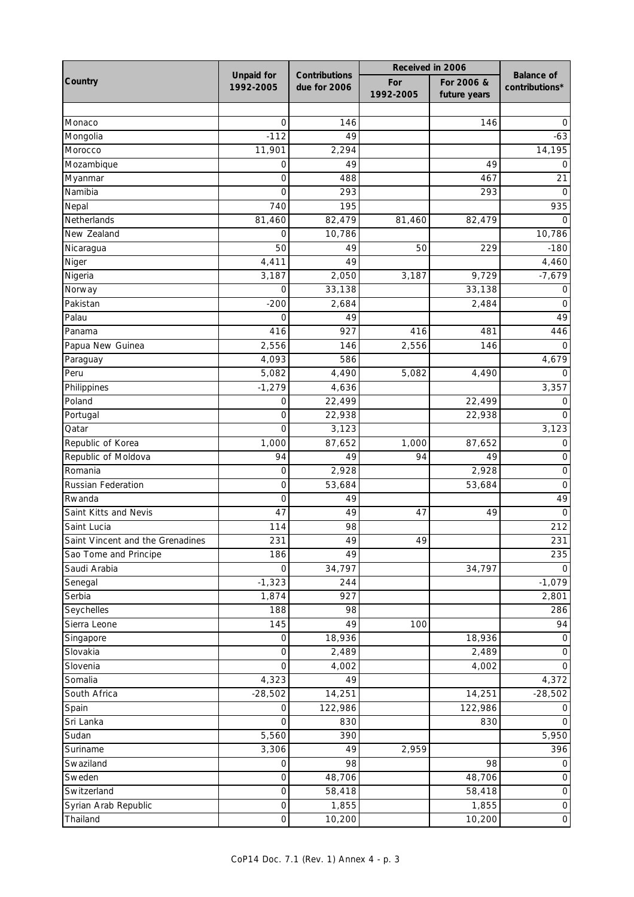|                                  |                                | Contributions | Received in 2006 |                            |                                     |
|----------------------------------|--------------------------------|---------------|------------------|----------------------------|-------------------------------------|
| Country                          | <b>Unpaid for</b><br>1992-2005 | due for 2006  | For<br>1992-2005 | For 2006 &<br>future years | <b>Balance of</b><br>contributions* |
|                                  |                                |               |                  |                            |                                     |
| Monaco                           | 0                              | 146           |                  | 146                        | O                                   |
| Mongolia                         | $-112$                         | 49            |                  |                            | $-63$                               |
| Morocco                          | 11,901                         | 2,294         |                  |                            | 14,195                              |
| Mozambique                       | 0                              | 49            |                  | 49                         | 0                                   |
| Myanmar                          | 0                              | 488           |                  | 467                        | 21                                  |
| Namibia                          | 0                              | 293           |                  | 293                        | $\Omega$                            |
| Nepal                            | 740                            | 195           |                  |                            | 935                                 |
| Netherlands                      | 81,460                         | 82,479        | 81,460           | 82,479                     |                                     |
| New Zealand                      | 0                              | 10,786        |                  |                            | 10,786                              |
| Nicaragua                        | 50                             | 49            | 50               | 229                        | $-180$                              |
| Niger                            | 4,411                          | 49            |                  |                            | 4,460                               |
| Nigeria                          | 3,187                          | 2,050         | 3,187            | 9,729                      | $-7,679$                            |
| Norway                           | 0                              | 33,138        |                  | 33,138                     | O                                   |
| Pakistan                         | $-200$                         | 2,684         |                  | 2,484                      | 0                                   |
| Palau                            | 0                              | 49            |                  |                            | 49                                  |
| Panama                           | 416                            | 927           | 416              | 481                        | 446                                 |
| Papua New Guinea                 | 2,556                          | 146           | 2,556            | 146                        | $\Omega$                            |
| Paraguay                         | 4,093                          | 586           |                  |                            | 4,679                               |
| Peru                             | 5,082                          | 4,490         | 5,082            | 4,490                      |                                     |
| Philippines                      | $-1,279$                       | 4,636         |                  |                            | 3,357                               |
| Poland                           | 0                              | 22,499        |                  | 22,499                     | O                                   |
| Portugal                         | 0                              | 22,938        |                  | 22,938                     | O                                   |
| Qatar                            | $\overline{O}$                 | 3,123         |                  |                            | 3,123                               |
| Republic of Korea                | 1,000                          | 87,652        | 1,000            | 87,652                     | O                                   |
| Republic of Moldova              | 94                             | 49            | 94               | 49                         | 0                                   |
| Romania                          | 0                              | 2,928         |                  | 2,928                      | $\mathbf 0$                         |
| <b>Russian Federation</b>        | 0                              | 53,684        |                  | 53,684                     | 0                                   |
| Rwanda                           | 0                              | 49            |                  |                            | 49                                  |
| Saint Kitts and Nevis            | 47                             | 49            | 47               | 49                         | $\overline{0}$                      |
| Saint Lucia                      | 114                            | 98            |                  |                            | 212                                 |
| Saint Vincent and the Grenadines | 231                            | 49            | 49               |                            | 231                                 |
| Sao Tome and Principe            | 186                            | 49            |                  |                            | 235                                 |
| Saudi Arabia                     | 0                              | 34,797        |                  | 34,797                     | $\Omega$                            |
| Senegal                          | $-1,323$                       | 244           |                  |                            | $-1,079$                            |
| Serbia                           | 1,874                          | 927           |                  |                            | 2,801                               |
| Seychelles                       | 188                            | 98            |                  |                            | 286                                 |
| Sierra Leone                     | 145                            | 49            | 100              |                            | 94                                  |
| Singapore                        | 0                              | 18,936        |                  | 18,936                     | 0                                   |
| Slovakia                         | 0                              | 2,489         |                  | 2,489                      | 0                                   |
| Slovenia                         | $\overline{0}$                 | 4,002         |                  | 4,002                      | $\Omega$                            |
| Somalia                          | 4,323                          | 49            |                  |                            | 4,372                               |
| South Africa                     | $-28,502$                      | 14,251        |                  | 14,251                     | $-28,502$                           |
| Spain                            | 0                              | 122,986       |                  | 122,986                    | 0                                   |
| Sri Lanka                        | 0                              | 830           |                  | 830                        | $\Omega$                            |
| Sudan                            | 5,560                          | 390           |                  |                            | 5,950                               |
| Suriname                         | 3,306                          | 49            | 2,959            |                            | 396                                 |
| Swaziland                        | 0                              | 98            |                  | 98                         | 0                                   |
| Sweden                           | 0                              | 48,706        |                  | 48,706                     | 0                                   |
| Switzerland                      | 0                              | 58,418        |                  | 58,418                     | 0                                   |
| Syrian Arab Republic             | 0                              | 1,855         |                  | 1,855                      | $\mathsf O$                         |
| Thailand                         | $\hbox{O}$                     | 10,200        |                  | 10,200                     | $\mathsf{O}\xspace$                 |
|                                  |                                |               |                  |                            |                                     |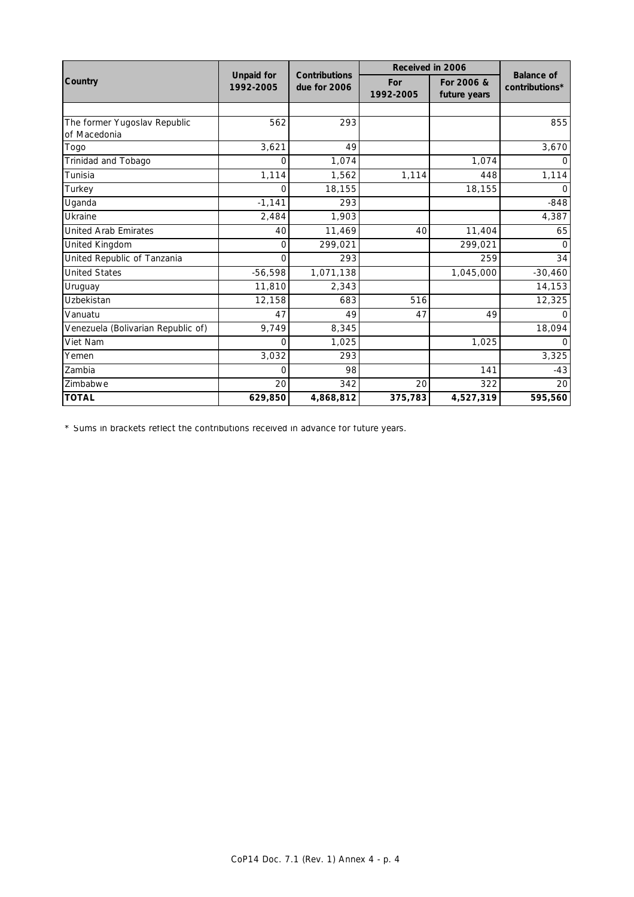|                                              |                                |                                      | Received in 2006 |                            |                                     |
|----------------------------------------------|--------------------------------|--------------------------------------|------------------|----------------------------|-------------------------------------|
| Country                                      | <b>Unpaid for</b><br>1992-2005 | <b>Contributions</b><br>due for 2006 | For<br>1992-2005 | For 2006 &<br>future years | <b>Balance of</b><br>contributions* |
|                                              |                                |                                      |                  |                            |                                     |
| The former Yugoslav Republic<br>of Macedonia | 562                            | 293                                  |                  |                            | 855                                 |
| Togo                                         | 3,621                          | 49                                   |                  |                            | 3,670                               |
| Trinidad and Tobago                          | 0                              | 1,074                                |                  | 1,074                      | O                                   |
| Tunisia                                      | 1,114                          | 1,562                                | 1,114            | 448                        | 1,114                               |
| Turkey                                       | O                              | 18,155                               |                  | 18,155                     | O                                   |
| Uganda                                       | $-1,141$                       | 293                                  |                  |                            | $-848$                              |
| <b>Ukraine</b>                               | 2,484                          | 1,903                                |                  |                            | 4,387                               |
| <b>United Arab Emirates</b>                  | 40                             | 11,469                               | 40               | 11,404                     | 65                                  |
| United Kingdom                               | 0                              | 299,021                              |                  | 299,021                    | O                                   |
| United Republic of Tanzania                  | O                              | 293                                  |                  | 259                        | 34                                  |
| <b>United States</b>                         | $-56,598$                      | 1,071,138                            |                  | 1,045,000                  | $-30,460$                           |
| Uruguay                                      | 11,810                         | 2,343                                |                  |                            | 14,153                              |
| Uzbekistan                                   | 12,158                         | 683                                  | 516              |                            | 12,325                              |
| Vanuatu                                      | 47                             | 49                                   | 47               | 49                         |                                     |
| Venezuela (Bolivarian Republic of)           | 9,749                          | 8,345                                |                  |                            | 18,094                              |
| Viet Nam                                     | O                              | 1,025                                |                  | 1,025                      |                                     |
| Yemen                                        | 3,032                          | 293                                  |                  |                            | 3,325                               |
| Zambia                                       | 0                              | 98                                   |                  | 141                        | $-43$                               |
| Zimbabwe                                     | 20                             | 342                                  | 20               | 322                        | 20                                  |
| <b>TOTAL</b>                                 | 629,850                        | 4,868,812                            | 375,783          | 4,527,319                  | 595,560                             |

\* Sums in brackets reflect the contributions received in advance for future years.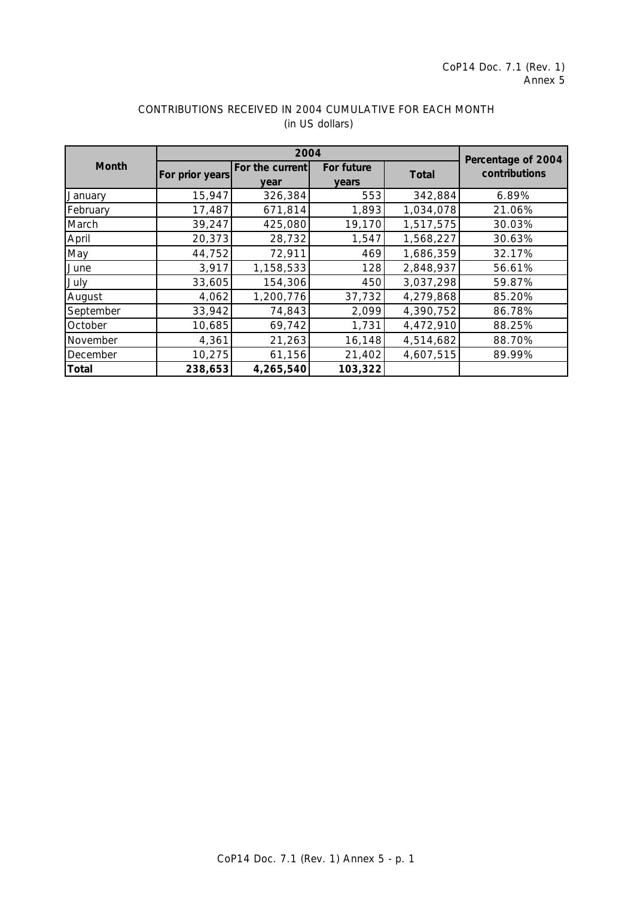|              |                 |                         | Percentage of 2004         |              |               |  |
|--------------|-----------------|-------------------------|----------------------------|--------------|---------------|--|
| <b>Month</b> | For prior years | For the current<br>vear | For future<br><b>years</b> | <b>Total</b> | contributions |  |
| January      | 15,947          | 326,384                 | 553                        | 342,884      | 6.89%         |  |
| February     | 17,487          | 671,814                 | 1,893                      | 1,034,078    | 21.06%        |  |
| March        | 39,247          | 425,080                 | 19,170                     | 1,517,575    | 30.03%        |  |
| April        | 20,373          | 28,732                  | 1,547                      | 1,568,227    | 30.63%        |  |
| May          | 44,752          | 72,911                  | 469                        | 1,686,359    | 32.17%        |  |
| June         | 3,917           | 1,158,533               | 128                        | 2,848,937    | 56.61%        |  |
| July         | 33,605          | 154,306                 | 450                        | 3,037,298    | 59.87%        |  |
| August       | 4,062           | 1,200,776               | 37,732                     | 4,279,868    | 85.20%        |  |
| September    | 33,942          | 74,843                  | 2,099                      | 4,390,752    | 86.78%        |  |
| October      | 10,685          | 69,742                  | 1,731                      | 4,472,910    | 88.25%        |  |
| November     | 4,361           | 21,263                  | 16, 148                    | 4,514,682    | 88.70%        |  |
| December     | 10,275          | 61,156                  | 21,402                     | 4,607,515    | 89.99%        |  |
| <b>Total</b> | 238,653         | 4,265,540               | 103,322                    |              |               |  |

# CONTRIBUTIONS RECEIVED IN 2004 CUMULATIVE FOR EACH MONTH (in US dollars)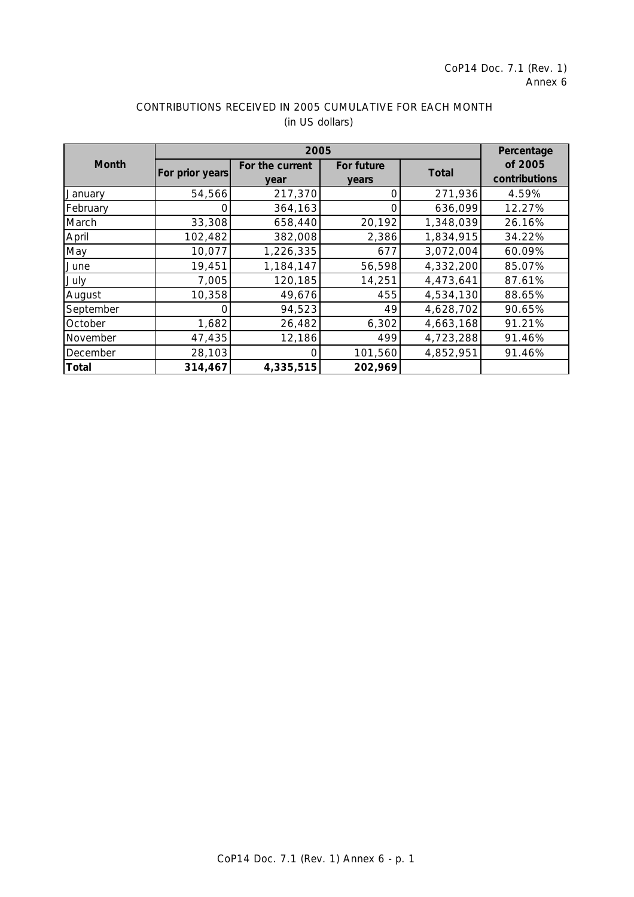|              |                 | 2005                    |                     |              |                          |  |
|--------------|-----------------|-------------------------|---------------------|--------------|--------------------------|--|
| <b>Month</b> | For prior years | For the current<br>year | For future<br>years | <b>Total</b> | of 2005<br>contributions |  |
| January      | 54,566          | 217,370                 |                     | 271,936      | 4.59%                    |  |
| February     |                 | 364,163                 |                     | 636,099      | 12.27%                   |  |
| March        | 33,308          | 658,440                 | 20,192              | 1,348,039    | 26.16%                   |  |
| April        | 102,482         | 382,008                 | 2,386               | 1,834,915    | 34.22%                   |  |
| May          | 10,077          | 1,226,335               | 677                 | 3,072,004    | 60.09%                   |  |
| June         | 19,451          | 1,184,147               | 56,598              | 4,332,200    | 85.07%                   |  |
| July         | 7,005           | 120,185                 | 14,251              | 4,473,641    | 87.61%                   |  |
| August       | 10,358          | 49,676                  | 455                 | 4,534,130    | 88.65%                   |  |
| September    | O               | 94,523                  | 49                  | 4,628,702    | 90.65%                   |  |
| October      | 1,682           | 26,482                  | 6,302               | 4,663,168    | 91.21%                   |  |
| November     | 47,435          | 12,186                  | 499                 | 4,723,288    | 91.46%                   |  |
| December     | 28,103          |                         | 101,560             | 4,852,951    | 91.46%                   |  |
| <b>Total</b> | 314,467         | 4,335,515               | 202,969             |              |                          |  |

# CONTRIBUTIONS RECEIVED IN 2005 CUMULATIVE FOR EACH MONTH (in US dollars)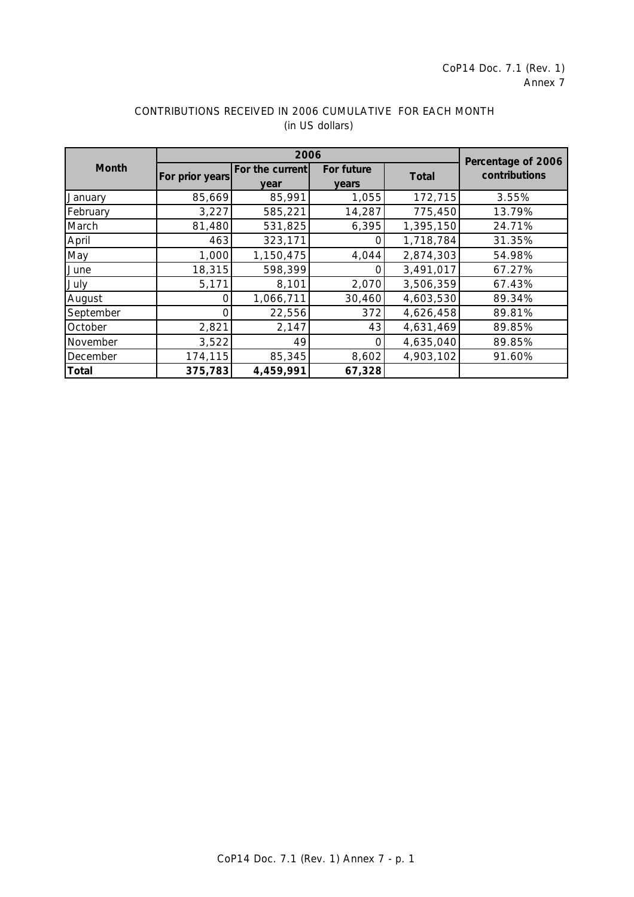|              | 2006            |                 |            |              |                                     |
|--------------|-----------------|-----------------|------------|--------------|-------------------------------------|
| Month        | For prior years | For the current | For future | <b>Total</b> | Percentage of 2006<br>contributions |
|              |                 | vear            | years      |              |                                     |
| January      | 85,669          | 85,991          | 1,055      | 172,715      | 3.55%                               |
| February     | 3,227           | 585,221         | 14,287     | 775,450      | 13.79%                              |
| March        | 81,480          | 531,825         | 6,395      | 1,395,150    | 24.71%                              |
| April        | 463             | 323,171         | Ω          | 1,718,784    | 31.35%                              |
| May          | 1,000           | 1,150,475       | 4,044      | 2,874,303    | 54.98%                              |
| June         | 18,315          | 598,399         |            | 3,491,017    | 67.27%                              |
| July         | 5,171           | 8,101           | 2,070      | 3,506,359    | 67.43%                              |
| August       | n               | 1,066,711       | 30,460     | 4,603,530    | 89.34%                              |
| September    | 0               | 22,556          | 372        | 4,626,458    | 89.81%                              |
| October      | 2,821           | 2,147           | 43         | 4,631,469    | 89.85%                              |
| November     | 3,522           | 49              | ∩          | 4,635,040    | 89.85%                              |
| December     | 174,115         | 85,345          | 8,602      | 4,903,102    | 91.60%                              |
| <b>Total</b> | 375,783         | 4,459,991       | 67,328     |              |                                     |

# CONTRIBUTIONS RECEIVED IN 2006 CUMULATIVE FOR EACH MONTH (in US dollars)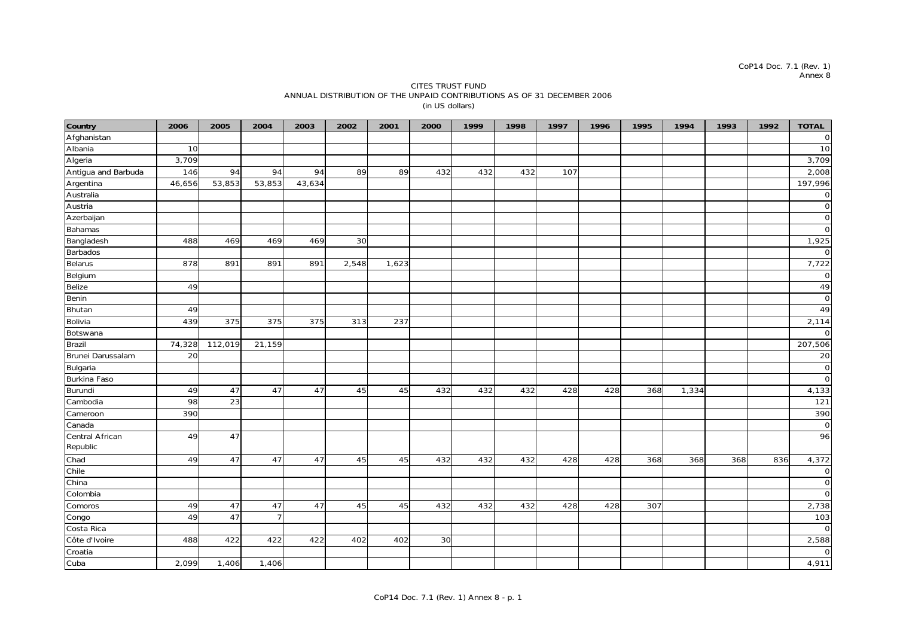#### CITES TRUST FUND ANNUAL DISTRIBUTION OF THE UNPAID CONTRIBUTIONS AS OF 31 DECEMBER 2006 (in US dollars)

| Country             | 2006   | 2005    | 2004           | 2003   | 2002  | 2001  | 2000 | 1999 | 1998 | 1997 | 1996 | 1995 | 1994  | 1993 | 1992 | <b>TOTAL</b>   |
|---------------------|--------|---------|----------------|--------|-------|-------|------|------|------|------|------|------|-------|------|------|----------------|
| Afghanistan         |        |         |                |        |       |       |      |      |      |      |      |      |       |      |      | $\mathbf 0$    |
| Albania             | 10     |         |                |        |       |       |      |      |      |      |      |      |       |      |      | 10             |
| Algeria             | 3,709  |         |                |        |       |       |      |      |      |      |      |      |       |      |      | 3,709          |
| Antigua and Barbuda | 146    | 94      | 94             | 94     | 89    | 89    | 432  | 432  | 432  | 107  |      |      |       |      |      | 2,008          |
| Argentina           | 46,656 | 53,853  | 53,853         | 43,634 |       |       |      |      |      |      |      |      |       |      |      | 197,996        |
| Australia           |        |         |                |        |       |       |      |      |      |      |      |      |       |      |      | $\mathsf O$    |
| Austria             |        |         |                |        |       |       |      |      |      |      |      |      |       |      |      | $\overline{0}$ |
| Azerbaijan          |        |         |                |        |       |       |      |      |      |      |      |      |       |      |      | $\circ$        |
| Bahamas             |        |         |                |        |       |       |      |      |      |      |      |      |       |      |      | $\overline{0}$ |
| Bangladesh          | 488    | 469     | 469            | 469    | 30    |       |      |      |      |      |      |      |       |      |      | 1,925          |
| Barbados            |        |         |                |        |       |       |      |      |      |      |      |      |       |      |      | $\Omega$       |
| Belarus             | 878    | 891     | 891            | 891    | 2,548 | 1,623 |      |      |      |      |      |      |       |      |      | 7,722          |
| Belgium             |        |         |                |        |       |       |      |      |      |      |      |      |       |      |      | $\mathbf 0$    |
| Belize              | 49     |         |                |        |       |       |      |      |      |      |      |      |       |      |      | 49             |
| Benin               |        |         |                |        |       |       |      |      |      |      |      |      |       |      |      | $\overline{0}$ |
| Bhutan              | 49     |         |                |        |       |       |      |      |      |      |      |      |       |      |      | 49             |
| Bolivia             | 439    | 375     | 375            | 375    | 313   | 237   |      |      |      |      |      |      |       |      |      | 2,114          |
| Botswana            |        |         |                |        |       |       |      |      |      |      |      |      |       |      |      | $\mathbf 0$    |
| Brazil              | 74,328 | 112,019 | 21,159         |        |       |       |      |      |      |      |      |      |       |      |      | 207,506        |
| Brunei Darussalam   | 20     |         |                |        |       |       |      |      |      |      |      |      |       |      |      | 20             |
| Bulgaria            |        |         |                |        |       |       |      |      |      |      |      |      |       |      |      | $\overline{0}$ |
| Burkina Faso        |        |         |                |        |       |       |      |      |      |      |      |      |       |      |      | $\mathsf{O}$   |
| Burundi             | 49     | 47      | 47             | 47     | 45    | 45    | 432  | 432  | 432  | 428  | 428  | 368  | 1,334 |      |      | 4,133          |
| Cambodia            | 98     | 23      |                |        |       |       |      |      |      |      |      |      |       |      |      | 121            |
| Cameroon            | 390    |         |                |        |       |       |      |      |      |      |      |      |       |      |      | 390            |
| Canada              |        |         |                |        |       |       |      |      |      |      |      |      |       |      |      | $\circ$        |
| Central African     | 49     | 47      |                |        |       |       |      |      |      |      |      |      |       |      |      | 96             |
| Republic            |        |         |                |        |       |       |      |      |      |      |      |      |       |      |      |                |
| Chad                | 49     | 47      | 47             | 47     | 45    | 45    | 432  | 432  | 432  | 428  | 428  | 368  | 368   | 368  | 836  | 4,372          |
| Chile               |        |         |                |        |       |       |      |      |      |      |      |      |       |      |      | $\mathbf 0$    |
| China               |        |         |                |        |       |       |      |      |      |      |      |      |       |      |      | $\overline{0}$ |
| Colombia            |        |         |                |        |       |       |      |      |      |      |      |      |       |      |      | $\overline{0}$ |
| Comoros             | 49     | 47      | 47             | 47     | 45    | 45    | 432  | 432  | 432  | 428  | 428  | 307  |       |      |      | 2,738          |
| Congo               | 49     | 47      | $\overline{7}$ |        |       |       |      |      |      |      |      |      |       |      |      | 103            |
| Costa Rica          |        |         |                |        |       |       |      |      |      |      |      |      |       |      |      | $\overline{O}$ |
| Côte d'Ivoire       | 488    | 422     | 422            | 422    | 402   | 402   | 30   |      |      |      |      |      |       |      |      | 2,588          |
| Croatia             |        |         |                |        |       |       |      |      |      |      |      |      |       |      |      | $\mathbf 0$    |
| Cuba                | 2,099  | 1,406   | 1,406          |        |       |       |      |      |      |      |      |      |       |      |      | 4,911          |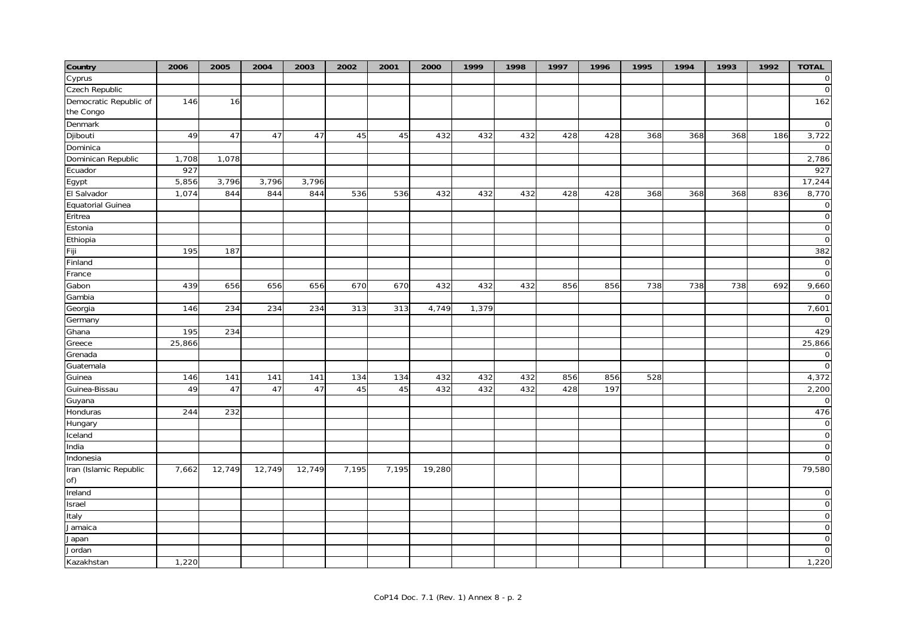| 0<br>Czech Republic<br>$\circ$<br>162<br>146<br>16<br>the Congo<br>$\mathbf 0$<br>49<br>47<br>47<br>45<br>432<br>432<br>432<br>428<br>428<br>368<br>368<br>368<br>186<br>3,722<br>47<br>45<br>$\Omega$<br>2,786<br>1,708<br>1,078<br>927<br>927<br>17,244<br>5,856<br>3,796<br>3,796<br>3,796<br>Egypt<br>8,770<br>1,074<br>844<br>844<br>844<br>536<br>536<br>432<br>432<br>432<br>428<br>428<br>368<br>368<br>836<br>368<br><b>Equatorial Guinea</b><br>$\mathbf 0$<br>$\mathbf 0$<br>Eritrea<br>$\mathbf 0$<br>$\mathbf 0$<br>382<br>195<br>187<br>$\mathbf 0$<br>$\circ$<br>France<br>439<br>656<br>656<br>656<br>670<br>670<br>432<br>432<br>432<br>856<br>856<br>738<br>738<br>738<br>692<br>9,660<br>Gabon<br>Gambia<br>$\Omega$<br>234<br>313<br>7,601<br>146<br>234<br>234<br>313<br>4,749<br>1,379<br>Germany<br>$\Omega$<br>234<br>429<br>195<br>25,866<br>25,866<br>Grenada<br>$\mathbf 0$<br>$\mathbf 0$<br>Guatemala<br>Guinea<br>146<br>141<br>141<br>141<br>134<br>134<br>432<br>432<br>432<br>856<br>856<br>528<br>4,372<br>49<br>432<br>197<br>2,200<br>Guinea-Bissau<br>47<br>47<br>47<br>45<br>45<br>432<br>432<br>428<br>Guyana<br>$\Omega$<br>476<br>Honduras<br>244<br>232<br>Hungary<br>$\mathbf 0$<br>$\mathsf O$<br>Iceland<br>$\overline{O}$<br>India<br>Indonesia<br>$\Omega$<br>Iran (Islamic Republic<br>7,662<br>12,749<br>12,749<br>12,749<br>7,195<br>79,580<br>7,195<br>19,280<br>of)<br>Ireland<br>$\mathbf 0$<br>$\overline{O}$<br>Israel<br>$\mathbf 0$<br>Italy | Country                | 2006 | 2005 | 2004 | 2003 | 2002 | 2001 | 2000 | 1999 | 1998 | 1997 | 1996 | 1995 | 1994 | 1993 | 1992 | <b>TOTAL</b> |
|-------------------------------------------------------------------------------------------------------------------------------------------------------------------------------------------------------------------------------------------------------------------------------------------------------------------------------------------------------------------------------------------------------------------------------------------------------------------------------------------------------------------------------------------------------------------------------------------------------------------------------------------------------------------------------------------------------------------------------------------------------------------------------------------------------------------------------------------------------------------------------------------------------------------------------------------------------------------------------------------------------------------------------------------------------------------------------------------------------------------------------------------------------------------------------------------------------------------------------------------------------------------------------------------------------------------------------------------------------------------------------------------------------------------------------------------------------------------------------------------------------|------------------------|------|------|------|------|------|------|------|------|------|------|------|------|------|------|------|--------------|
|                                                                                                                                                                                                                                                                                                                                                                                                                                                                                                                                                                                                                                                                                                                                                                                                                                                                                                                                                                                                                                                                                                                                                                                                                                                                                                                                                                                                                                                                                                       | Cyprus                 |      |      |      |      |      |      |      |      |      |      |      |      |      |      |      |              |
|                                                                                                                                                                                                                                                                                                                                                                                                                                                                                                                                                                                                                                                                                                                                                                                                                                                                                                                                                                                                                                                                                                                                                                                                                                                                                                                                                                                                                                                                                                       |                        |      |      |      |      |      |      |      |      |      |      |      |      |      |      |      |              |
|                                                                                                                                                                                                                                                                                                                                                                                                                                                                                                                                                                                                                                                                                                                                                                                                                                                                                                                                                                                                                                                                                                                                                                                                                                                                                                                                                                                                                                                                                                       | Democratic Republic of |      |      |      |      |      |      |      |      |      |      |      |      |      |      |      |              |
|                                                                                                                                                                                                                                                                                                                                                                                                                                                                                                                                                                                                                                                                                                                                                                                                                                                                                                                                                                                                                                                                                                                                                                                                                                                                                                                                                                                                                                                                                                       |                        |      |      |      |      |      |      |      |      |      |      |      |      |      |      |      |              |
|                                                                                                                                                                                                                                                                                                                                                                                                                                                                                                                                                                                                                                                                                                                                                                                                                                                                                                                                                                                                                                                                                                                                                                                                                                                                                                                                                                                                                                                                                                       | Denmark                |      |      |      |      |      |      |      |      |      |      |      |      |      |      |      |              |
|                                                                                                                                                                                                                                                                                                                                                                                                                                                                                                                                                                                                                                                                                                                                                                                                                                                                                                                                                                                                                                                                                                                                                                                                                                                                                                                                                                                                                                                                                                       | Djibouti               |      |      |      |      |      |      |      |      |      |      |      |      |      |      |      |              |
|                                                                                                                                                                                                                                                                                                                                                                                                                                                                                                                                                                                                                                                                                                                                                                                                                                                                                                                                                                                                                                                                                                                                                                                                                                                                                                                                                                                                                                                                                                       | Dominica               |      |      |      |      |      |      |      |      |      |      |      |      |      |      |      |              |
|                                                                                                                                                                                                                                                                                                                                                                                                                                                                                                                                                                                                                                                                                                                                                                                                                                                                                                                                                                                                                                                                                                                                                                                                                                                                                                                                                                                                                                                                                                       | Dominican Republic     |      |      |      |      |      |      |      |      |      |      |      |      |      |      |      |              |
|                                                                                                                                                                                                                                                                                                                                                                                                                                                                                                                                                                                                                                                                                                                                                                                                                                                                                                                                                                                                                                                                                                                                                                                                                                                                                                                                                                                                                                                                                                       | Ecuador                |      |      |      |      |      |      |      |      |      |      |      |      |      |      |      |              |
|                                                                                                                                                                                                                                                                                                                                                                                                                                                                                                                                                                                                                                                                                                                                                                                                                                                                                                                                                                                                                                                                                                                                                                                                                                                                                                                                                                                                                                                                                                       |                        |      |      |      |      |      |      |      |      |      |      |      |      |      |      |      |              |
|                                                                                                                                                                                                                                                                                                                                                                                                                                                                                                                                                                                                                                                                                                                                                                                                                                                                                                                                                                                                                                                                                                                                                                                                                                                                                                                                                                                                                                                                                                       | El Salvador            |      |      |      |      |      |      |      |      |      |      |      |      |      |      |      |              |
|                                                                                                                                                                                                                                                                                                                                                                                                                                                                                                                                                                                                                                                                                                                                                                                                                                                                                                                                                                                                                                                                                                                                                                                                                                                                                                                                                                                                                                                                                                       |                        |      |      |      |      |      |      |      |      |      |      |      |      |      |      |      |              |
|                                                                                                                                                                                                                                                                                                                                                                                                                                                                                                                                                                                                                                                                                                                                                                                                                                                                                                                                                                                                                                                                                                                                                                                                                                                                                                                                                                                                                                                                                                       |                        |      |      |      |      |      |      |      |      |      |      |      |      |      |      |      |              |
|                                                                                                                                                                                                                                                                                                                                                                                                                                                                                                                                                                                                                                                                                                                                                                                                                                                                                                                                                                                                                                                                                                                                                                                                                                                                                                                                                                                                                                                                                                       | Estonia                |      |      |      |      |      |      |      |      |      |      |      |      |      |      |      |              |
|                                                                                                                                                                                                                                                                                                                                                                                                                                                                                                                                                                                                                                                                                                                                                                                                                                                                                                                                                                                                                                                                                                                                                                                                                                                                                                                                                                                                                                                                                                       | Ethiopia               |      |      |      |      |      |      |      |      |      |      |      |      |      |      |      |              |
|                                                                                                                                                                                                                                                                                                                                                                                                                                                                                                                                                                                                                                                                                                                                                                                                                                                                                                                                                                                                                                                                                                                                                                                                                                                                                                                                                                                                                                                                                                       | Fiji                   |      |      |      |      |      |      |      |      |      |      |      |      |      |      |      |              |
|                                                                                                                                                                                                                                                                                                                                                                                                                                                                                                                                                                                                                                                                                                                                                                                                                                                                                                                                                                                                                                                                                                                                                                                                                                                                                                                                                                                                                                                                                                       | Finland                |      |      |      |      |      |      |      |      |      |      |      |      |      |      |      |              |
|                                                                                                                                                                                                                                                                                                                                                                                                                                                                                                                                                                                                                                                                                                                                                                                                                                                                                                                                                                                                                                                                                                                                                                                                                                                                                                                                                                                                                                                                                                       |                        |      |      |      |      |      |      |      |      |      |      |      |      |      |      |      |              |
|                                                                                                                                                                                                                                                                                                                                                                                                                                                                                                                                                                                                                                                                                                                                                                                                                                                                                                                                                                                                                                                                                                                                                                                                                                                                                                                                                                                                                                                                                                       |                        |      |      |      |      |      |      |      |      |      |      |      |      |      |      |      |              |
|                                                                                                                                                                                                                                                                                                                                                                                                                                                                                                                                                                                                                                                                                                                                                                                                                                                                                                                                                                                                                                                                                                                                                                                                                                                                                                                                                                                                                                                                                                       |                        |      |      |      |      |      |      |      |      |      |      |      |      |      |      |      |              |
|                                                                                                                                                                                                                                                                                                                                                                                                                                                                                                                                                                                                                                                                                                                                                                                                                                                                                                                                                                                                                                                                                                                                                                                                                                                                                                                                                                                                                                                                                                       | Georgia                |      |      |      |      |      |      |      |      |      |      |      |      |      |      |      |              |
|                                                                                                                                                                                                                                                                                                                                                                                                                                                                                                                                                                                                                                                                                                                                                                                                                                                                                                                                                                                                                                                                                                                                                                                                                                                                                                                                                                                                                                                                                                       |                        |      |      |      |      |      |      |      |      |      |      |      |      |      |      |      |              |
|                                                                                                                                                                                                                                                                                                                                                                                                                                                                                                                                                                                                                                                                                                                                                                                                                                                                                                                                                                                                                                                                                                                                                                                                                                                                                                                                                                                                                                                                                                       | Ghana                  |      |      |      |      |      |      |      |      |      |      |      |      |      |      |      |              |
|                                                                                                                                                                                                                                                                                                                                                                                                                                                                                                                                                                                                                                                                                                                                                                                                                                                                                                                                                                                                                                                                                                                                                                                                                                                                                                                                                                                                                                                                                                       | Greece                 |      |      |      |      |      |      |      |      |      |      |      |      |      |      |      |              |
|                                                                                                                                                                                                                                                                                                                                                                                                                                                                                                                                                                                                                                                                                                                                                                                                                                                                                                                                                                                                                                                                                                                                                                                                                                                                                                                                                                                                                                                                                                       |                        |      |      |      |      |      |      |      |      |      |      |      |      |      |      |      |              |
|                                                                                                                                                                                                                                                                                                                                                                                                                                                                                                                                                                                                                                                                                                                                                                                                                                                                                                                                                                                                                                                                                                                                                                                                                                                                                                                                                                                                                                                                                                       |                        |      |      |      |      |      |      |      |      |      |      |      |      |      |      |      |              |
|                                                                                                                                                                                                                                                                                                                                                                                                                                                                                                                                                                                                                                                                                                                                                                                                                                                                                                                                                                                                                                                                                                                                                                                                                                                                                                                                                                                                                                                                                                       |                        |      |      |      |      |      |      |      |      |      |      |      |      |      |      |      |              |
|                                                                                                                                                                                                                                                                                                                                                                                                                                                                                                                                                                                                                                                                                                                                                                                                                                                                                                                                                                                                                                                                                                                                                                                                                                                                                                                                                                                                                                                                                                       |                        |      |      |      |      |      |      |      |      |      |      |      |      |      |      |      |              |
|                                                                                                                                                                                                                                                                                                                                                                                                                                                                                                                                                                                                                                                                                                                                                                                                                                                                                                                                                                                                                                                                                                                                                                                                                                                                                                                                                                                                                                                                                                       |                        |      |      |      |      |      |      |      |      |      |      |      |      |      |      |      |              |
|                                                                                                                                                                                                                                                                                                                                                                                                                                                                                                                                                                                                                                                                                                                                                                                                                                                                                                                                                                                                                                                                                                                                                                                                                                                                                                                                                                                                                                                                                                       |                        |      |      |      |      |      |      |      |      |      |      |      |      |      |      |      |              |
|                                                                                                                                                                                                                                                                                                                                                                                                                                                                                                                                                                                                                                                                                                                                                                                                                                                                                                                                                                                                                                                                                                                                                                                                                                                                                                                                                                                                                                                                                                       |                        |      |      |      |      |      |      |      |      |      |      |      |      |      |      |      |              |
|                                                                                                                                                                                                                                                                                                                                                                                                                                                                                                                                                                                                                                                                                                                                                                                                                                                                                                                                                                                                                                                                                                                                                                                                                                                                                                                                                                                                                                                                                                       |                        |      |      |      |      |      |      |      |      |      |      |      |      |      |      |      |              |
|                                                                                                                                                                                                                                                                                                                                                                                                                                                                                                                                                                                                                                                                                                                                                                                                                                                                                                                                                                                                                                                                                                                                                                                                                                                                                                                                                                                                                                                                                                       |                        |      |      |      |      |      |      |      |      |      |      |      |      |      |      |      |              |
|                                                                                                                                                                                                                                                                                                                                                                                                                                                                                                                                                                                                                                                                                                                                                                                                                                                                                                                                                                                                                                                                                                                                                                                                                                                                                                                                                                                                                                                                                                       |                        |      |      |      |      |      |      |      |      |      |      |      |      |      |      |      |              |
|                                                                                                                                                                                                                                                                                                                                                                                                                                                                                                                                                                                                                                                                                                                                                                                                                                                                                                                                                                                                                                                                                                                                                                                                                                                                                                                                                                                                                                                                                                       |                        |      |      |      |      |      |      |      |      |      |      |      |      |      |      |      |              |
|                                                                                                                                                                                                                                                                                                                                                                                                                                                                                                                                                                                                                                                                                                                                                                                                                                                                                                                                                                                                                                                                                                                                                                                                                                                                                                                                                                                                                                                                                                       |                        |      |      |      |      |      |      |      |      |      |      |      |      |      |      |      |              |
|                                                                                                                                                                                                                                                                                                                                                                                                                                                                                                                                                                                                                                                                                                                                                                                                                                                                                                                                                                                                                                                                                                                                                                                                                                                                                                                                                                                                                                                                                                       |                        |      |      |      |      |      |      |      |      |      |      |      |      |      |      |      |              |
|                                                                                                                                                                                                                                                                                                                                                                                                                                                                                                                                                                                                                                                                                                                                                                                                                                                                                                                                                                                                                                                                                                                                                                                                                                                                                                                                                                                                                                                                                                       |                        |      |      |      |      |      |      |      |      |      |      |      |      |      |      |      |              |
|                                                                                                                                                                                                                                                                                                                                                                                                                                                                                                                                                                                                                                                                                                                                                                                                                                                                                                                                                                                                                                                                                                                                                                                                                                                                                                                                                                                                                                                                                                       |                        |      |      |      |      |      |      |      |      |      |      |      |      |      |      |      |              |
|                                                                                                                                                                                                                                                                                                                                                                                                                                                                                                                                                                                                                                                                                                                                                                                                                                                                                                                                                                                                                                                                                                                                                                                                                                                                                                                                                                                                                                                                                                       | Jamaica                |      |      |      |      |      |      |      |      |      |      |      |      |      |      |      | $\mathbf 0$  |
| $\mathbf 0$<br>Japan                                                                                                                                                                                                                                                                                                                                                                                                                                                                                                                                                                                                                                                                                                                                                                                                                                                                                                                                                                                                                                                                                                                                                                                                                                                                                                                                                                                                                                                                                  |                        |      |      |      |      |      |      |      |      |      |      |      |      |      |      |      |              |
| $\mathbf 0$<br>Jordan                                                                                                                                                                                                                                                                                                                                                                                                                                                                                                                                                                                                                                                                                                                                                                                                                                                                                                                                                                                                                                                                                                                                                                                                                                                                                                                                                                                                                                                                                 |                        |      |      |      |      |      |      |      |      |      |      |      |      |      |      |      |              |
| 1,220<br>1,220                                                                                                                                                                                                                                                                                                                                                                                                                                                                                                                                                                                                                                                                                                                                                                                                                                                                                                                                                                                                                                                                                                                                                                                                                                                                                                                                                                                                                                                                                        | Kazakhstan             |      |      |      |      |      |      |      |      |      |      |      |      |      |      |      |              |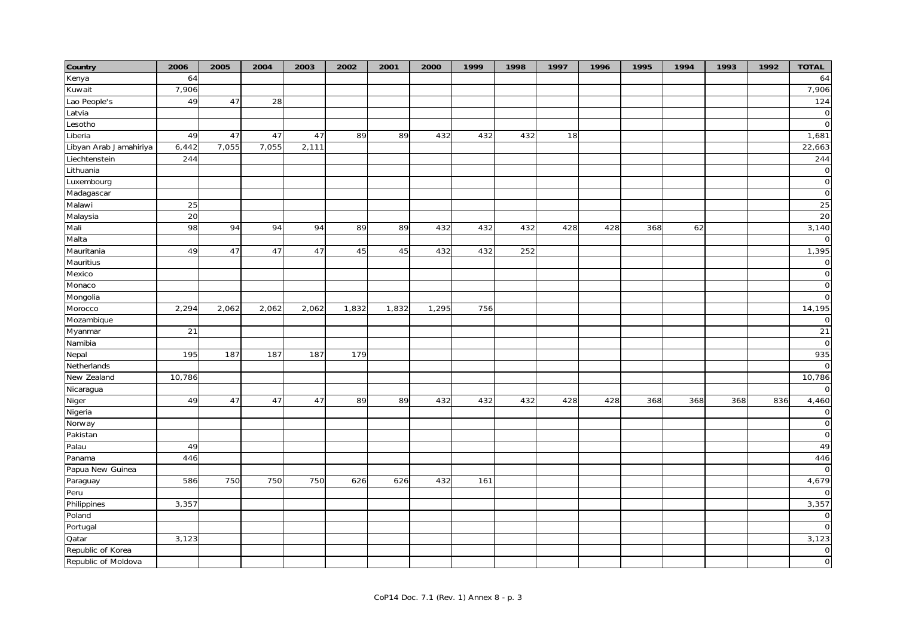| Country                | 2006   | 2005  | 2004  | 2003  | 2002  | 2001  | 2000  | 1999 | 1998 | 1997 | 1996 | 1995 | 1994 | 1993 | 1992 | <b>TOTAL</b>   |
|------------------------|--------|-------|-------|-------|-------|-------|-------|------|------|------|------|------|------|------|------|----------------|
| Kenya                  | 64     |       |       |       |       |       |       |      |      |      |      |      |      |      |      | 64             |
| Kuwait                 | 7,906  |       |       |       |       |       |       |      |      |      |      |      |      |      |      | 7,906          |
| Lao People's           | 49     | 47    | 28    |       |       |       |       |      |      |      |      |      |      |      |      | $\frac{1}{24}$ |
| Latvia                 |        |       |       |       |       |       |       |      |      |      |      |      |      |      |      | $\mathsf O$    |
| Lesotho                |        |       |       |       |       |       |       |      |      |      |      |      |      |      |      | $\overline{0}$ |
| Liberia                | 49     | 47    | 47    | 47    | 89    | 89    | 432   | 432  | 432  | 18   |      |      |      |      |      | 1,681          |
| Libyan Arab Jamahiriya | 6,442  | 7,055 | 7,055 | 2,111 |       |       |       |      |      |      |      |      |      |      |      | 22,663         |
| Liechtenstein          | 244    |       |       |       |       |       |       |      |      |      |      |      |      |      |      | 244            |
| Lithuania              |        |       |       |       |       |       |       |      |      |      |      |      |      |      |      | $\mathsf O$    |
| Luxembourg             |        |       |       |       |       |       |       |      |      |      |      |      |      |      |      | $\overline{0}$ |
| Madagascar             |        |       |       |       |       |       |       |      |      |      |      |      |      |      |      | $\circ$        |
| Malawi                 | 25     |       |       |       |       |       |       |      |      |      |      |      |      |      |      | 25             |
| Malaysia               | 20     |       |       |       |       |       |       |      |      |      |      |      |      |      |      | 20             |
| Mali                   | 98     | 94    | 94    | 94    | 89    | 89    | 432   | 432  | 432  | 428  | 428  | 368  | 62   |      |      | 3,140          |
| Malta                  |        |       |       |       |       |       |       |      |      |      |      |      |      |      |      | $\mathbf 0$    |
| Mauritania             | 49     | 47    | 47    | 47    | 45    | 45    | 432   | 432  | 252  |      |      |      |      |      |      | 1,395          |
| Mauritius              |        |       |       |       |       |       |       |      |      |      |      |      |      |      |      | $\circ$        |
| Mexico                 |        |       |       |       |       |       |       |      |      |      |      |      |      |      |      | $\circ$        |
| Monaco                 |        |       |       |       |       |       |       |      |      |      |      |      |      |      |      | $\mathsf O$    |
| Mongolia               |        |       |       |       |       |       |       |      |      |      |      |      |      |      |      | $\mathsf O$    |
| Morocco                | 2,294  | 2,062 | 2,062 | 2,062 | 1,832 | 1,832 | 1,295 | 756  |      |      |      |      |      |      |      | 14,195         |
| Mozambique             |        |       |       |       |       |       |       |      |      |      |      |      |      |      |      | $\mathsf{O}$   |
| Myanmar                | 21     |       |       |       |       |       |       |      |      |      |      |      |      |      |      | 21             |
| Namibia                |        |       |       |       |       |       |       |      |      |      |      |      |      |      |      | $\mathsf{O}$   |
| Nepal                  | 195    | 187   | 187   | 187   | 179   |       |       |      |      |      |      |      |      |      |      | 935            |
| Netherlands            |        |       |       |       |       |       |       |      |      |      |      |      |      |      |      | $\circ$        |
| New Zealand            | 10,786 |       |       |       |       |       |       |      |      |      |      |      |      |      |      | 10,786         |
| Nicaragua              |        |       |       |       |       |       |       |      |      |      |      |      |      |      |      | $\mathbf 0$    |
| Niger                  | 49     | 47    | 47    | 47    | 89    | 89    | 432   | 432  | 432  | 428  | 428  | 368  | 368  | 368  | 836  | 4,460          |
| Nigeria                |        |       |       |       |       |       |       |      |      |      |      |      |      |      |      | $\overline{0}$ |
| Norway                 |        |       |       |       |       |       |       |      |      |      |      |      |      |      |      | $\mathsf O$    |
| Pakistan               |        |       |       |       |       |       |       |      |      |      |      |      |      |      |      | $\mathsf O$    |
| Palau                  | 49     |       |       |       |       |       |       |      |      |      |      |      |      |      |      | 49             |
| Panama                 | 446    |       |       |       |       |       |       |      |      |      |      |      |      |      |      | 446            |
| Papua New Guinea       |        |       |       |       |       |       |       |      |      |      |      |      |      |      |      | $\mathbf 0$    |
| Paraguay               | 586    | 750   | 750   | 750   | 626   | 626   | 432   | 161  |      |      |      |      |      |      |      | 4,679          |
| Peru                   |        |       |       |       |       |       |       |      |      |      |      |      |      |      |      | $\mathbf 0$    |
| Philippines            | 3,357  |       |       |       |       |       |       |      |      |      |      |      |      |      |      | 3,357          |
| Poland                 |        |       |       |       |       |       |       |      |      |      |      |      |      |      |      | $\overline{O}$ |
| Portugal               |        |       |       |       |       |       |       |      |      |      |      |      |      |      |      | $\overline{0}$ |
| Qatar                  | 3,123  |       |       |       |       |       |       |      |      |      |      |      |      |      |      | 3,123          |
| Republic of Korea      |        |       |       |       |       |       |       |      |      |      |      |      |      |      |      | $\circ$        |
| Republic of Moldova    |        |       |       |       |       |       |       |      |      |      |      |      |      |      |      | $\circ$        |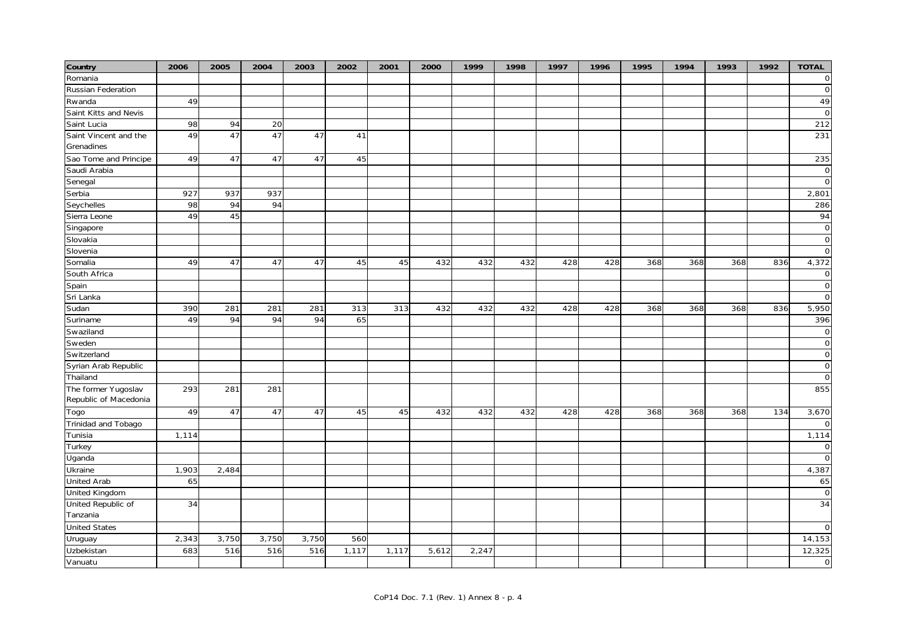| Romania<br>Russian Federation<br>49<br>49<br>Rwanda<br>Saint Kitts and Nevis<br>Saint Lucia<br>98<br>94<br>212<br>20<br>Saint Vincent and the<br>49<br>47<br>47<br>231<br>47<br>41<br>Grenadines<br>Sao Tome and Principe<br>49<br>47<br>47<br>45<br>235<br>47<br>Saudi Arabia<br>Senegal |
|-------------------------------------------------------------------------------------------------------------------------------------------------------------------------------------------------------------------------------------------------------------------------------------------|
|                                                                                                                                                                                                                                                                                           |
|                                                                                                                                                                                                                                                                                           |
|                                                                                                                                                                                                                                                                                           |
|                                                                                                                                                                                                                                                                                           |
|                                                                                                                                                                                                                                                                                           |
|                                                                                                                                                                                                                                                                                           |
|                                                                                                                                                                                                                                                                                           |
|                                                                                                                                                                                                                                                                                           |
|                                                                                                                                                                                                                                                                                           |
|                                                                                                                                                                                                                                                                                           |
| 927<br>937<br>937<br>2,801<br>Serbia                                                                                                                                                                                                                                                      |
| 98<br>94<br>94<br>286<br>Seychelles                                                                                                                                                                                                                                                       |
| 49<br>45<br>94<br>Sierra Leone                                                                                                                                                                                                                                                            |
| Singapore                                                                                                                                                                                                                                                                                 |
| Slovakia                                                                                                                                                                                                                                                                                  |
| Slovenia                                                                                                                                                                                                                                                                                  |
| Somalia<br>49<br>47<br>47<br>45<br>45<br>432<br>432<br>432<br>428<br>428<br>368<br>368<br>836<br>4,372<br>47<br>368                                                                                                                                                                       |
| South Africa                                                                                                                                                                                                                                                                              |
| Spain                                                                                                                                                                                                                                                                                     |
| Sri Lanka                                                                                                                                                                                                                                                                                 |
| 390<br>281<br>281<br>281<br>313<br>428<br>368<br>836<br>5,950<br>Sudan<br>313<br>432<br>432<br>432<br>428<br>368<br>368                                                                                                                                                                   |
| 94<br>94<br>65<br>396<br>49<br>94<br>Suriname                                                                                                                                                                                                                                             |
| Swaziland                                                                                                                                                                                                                                                                                 |
| Sweden                                                                                                                                                                                                                                                                                    |
| Switzerland                                                                                                                                                                                                                                                                               |
| Syrian Arab Republic                                                                                                                                                                                                                                                                      |
| Thailand                                                                                                                                                                                                                                                                                  |
| 855<br>The former Yugoslav<br>281<br>281<br>293                                                                                                                                                                                                                                           |
| Republic of Macedonia                                                                                                                                                                                                                                                                     |
| 49<br>3,670<br>47<br>47<br>47<br>45<br>45<br>432<br>432<br>432<br>428<br>428<br>368<br>368<br>368<br>134<br>Togo                                                                                                                                                                          |
| Trinidad and Tobago                                                                                                                                                                                                                                                                       |
| Tunisia<br>1,114<br>1,114                                                                                                                                                                                                                                                                 |
| Turkey                                                                                                                                                                                                                                                                                    |
| Uganda                                                                                                                                                                                                                                                                                    |
| 1,903<br>2,484<br>4,387<br>Ukraine                                                                                                                                                                                                                                                        |
| <b>United Arab</b><br>65<br>65                                                                                                                                                                                                                                                            |
| United Kingdom                                                                                                                                                                                                                                                                            |
| United Republic of<br>34<br>34                                                                                                                                                                                                                                                            |
| Tanzania                                                                                                                                                                                                                                                                                  |
| <b>United States</b>                                                                                                                                                                                                                                                                      |
| 2,343<br>3,750<br>3,750<br>14,153<br>3,750<br>560<br>Uruguay                                                                                                                                                                                                                              |
| 683<br>516<br>516<br>1,117<br>12,325<br>Uzbekistan<br>516<br>1,117<br>5,612<br>2,247                                                                                                                                                                                                      |
| Vanuatu                                                                                                                                                                                                                                                                                   |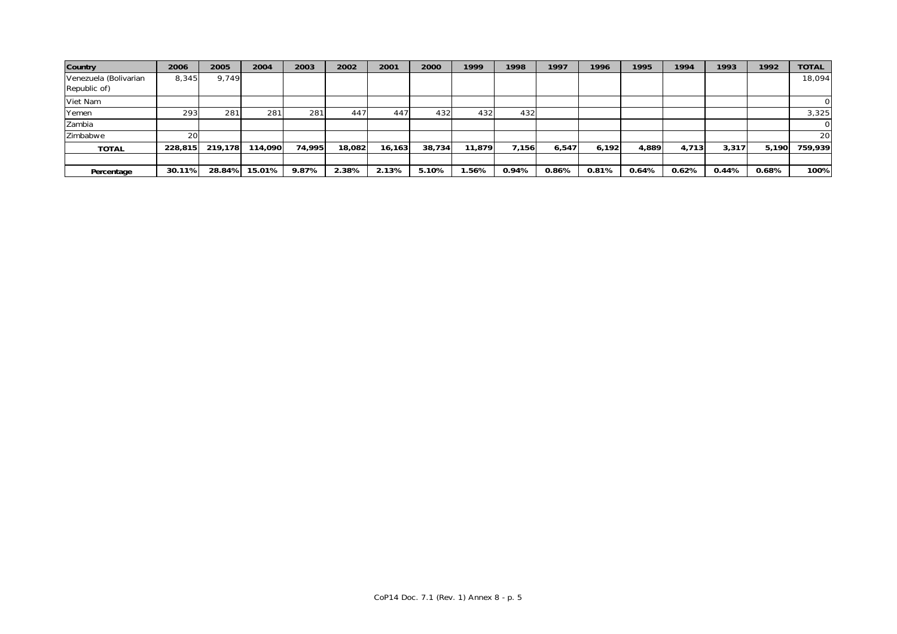| Country               | 2006    | 2005    | 2004    | 2003   | 2002   | 2001   | 2000   | 1999   | 1998  | 1997  | 1996  | 1995  | 1994  | 1993  | 1992  | <b>TOTAL</b> |
|-----------------------|---------|---------|---------|--------|--------|--------|--------|--------|-------|-------|-------|-------|-------|-------|-------|--------------|
| Venezuela (Bolivarian | 8,345   | 9,749   |         |        |        |        |        |        |       |       |       |       |       |       |       | 18,094       |
| Republic of)          |         |         |         |        |        |        |        |        |       |       |       |       |       |       |       |              |
| Viet Nam              |         |         |         |        |        |        |        |        |       |       |       |       |       |       |       |              |
| Yemen                 | 293     | 281     | 281     | 281    | 447    | 447    | 432    | 432    | 432   |       |       |       |       |       |       | 3,325        |
| Zambia                |         |         |         |        |        |        |        |        |       |       |       |       |       |       |       |              |
| Zimbabwe              | 20      |         |         |        |        |        |        |        |       |       |       |       |       |       |       | 20           |
| <b>TOTAL</b>          | 228,815 | 219.178 | 114,090 | 74.995 | 18,082 | 16.163 | 38.734 | 11.879 | 7,156 | 6,547 | 6.192 | 4,889 | 4.713 | 3.317 | 5.190 | 759,939      |
|                       |         |         |         |        |        |        |        |        |       |       |       |       |       |       |       |              |
| Percentage            | 30.11%  | 28.84%  | 15.01%  | 9.87%  | 2.38%  | 2.13%  | 5.10%  | .56%   | 0.94% | 0.86% | 0.81% | 0.64% | 0.62% | 0.44% | 0.68% | 100%         |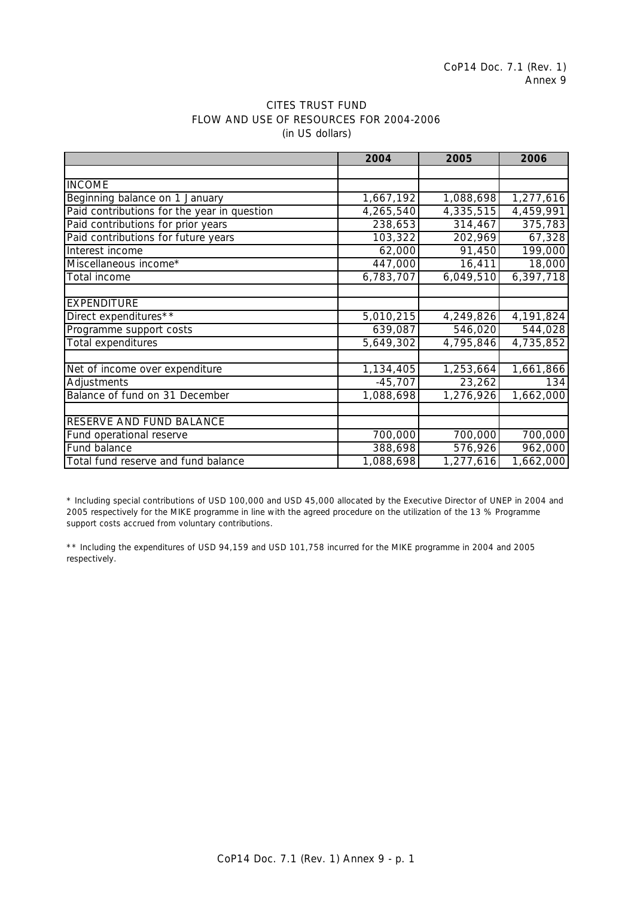|                                             | 2004      | 2005                   | 2006      |
|---------------------------------------------|-----------|------------------------|-----------|
|                                             |           |                        |           |
| <b>INCOME</b>                               |           |                        |           |
| Beginning balance on 1 January              | 1,667,192 | 1,088,698              | 1,277,616 |
| Paid contributions for the year in question | 4,265,540 | 4,335,515              | 4,459,991 |
| Paid contributions for prior years          | 238,653   | 314,467                | 375,783   |
| Paid contributions for future years         | 103,322   | 202,969                | 67,328    |
| Interest income                             | 62,000    | 91,450                 | 199,000   |
| Miscellaneous income*                       | 447,000   | 16,411                 | 18,000    |
| Total income                                | 6,783,707 | 6,049,510              | 6,397,718 |
|                                             |           |                        |           |
| <b>EXPENDITURE</b>                          |           |                        |           |
| Direct expenditures**                       | 5,010,215 | 4,249,826              | 4,191,824 |
| Programme support costs                     | 639,087   | 546,020                | 544,028   |
| Total expenditures                          | 5,649,302 | 4,795,846              | 4,735,852 |
|                                             |           |                        |           |
| Net of income over expenditure              | 1,134,405 | $\overline{1,253,664}$ | 1,661,866 |
| Adjustments                                 | $-45,707$ | 23,262                 | 134       |
| Balance of fund on 31 December              | 1,088,698 | 1,276,926              | 1,662,000 |
|                                             |           |                        |           |
| RESERVE AND FUND BALANCE                    |           |                        |           |
| Fund operational reserve                    | 700,000   | 700,000                | 700,000   |
| Fund balance                                | 388,698   | 576,926                | 962,000   |
| Total fund reserve and fund balance         | 1,088,698 | 1,277,616              | 1,662,000 |

# CITES TRUST FUND FLOW AND USE OF RESOURCES FOR 2004-2006 (in US dollars)

\* Including special contributions of USD 100,000 and USD 45,000 allocated by the Executive Director of UNEP in 2004 and 2005 respectively for the MIKE programme in line with the agreed procedure on the utilization of the 13 % Programme support costs accrued from voluntary contributions.

\*\* Including the expenditures of USD 94,159 and USD 101,758 incurred for the MIKE programme in 2004 and 2005 respectively.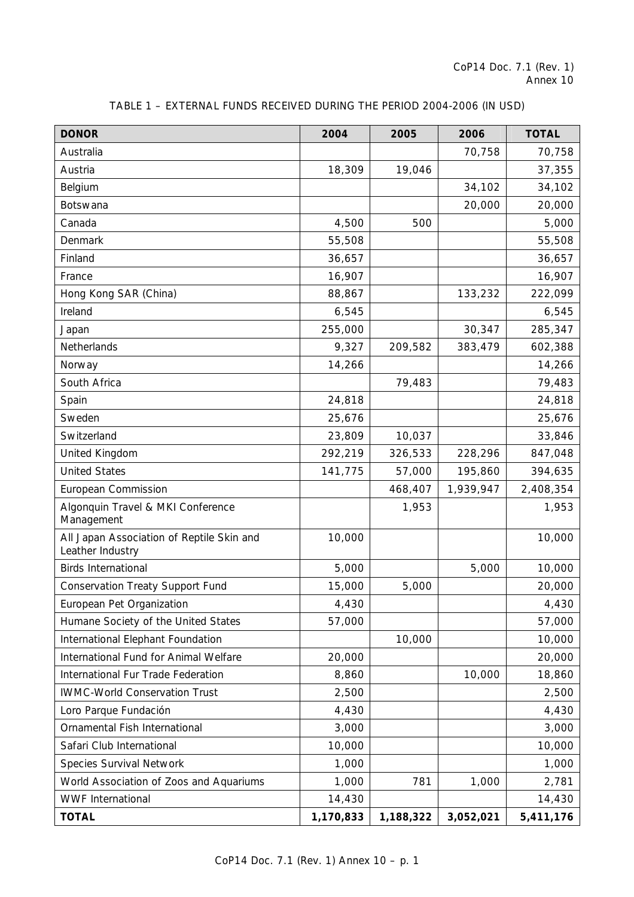| <b>DONOR</b>                                                  | 2004      | 2005      | 2006      | <b>TOTAL</b> |
|---------------------------------------------------------------|-----------|-----------|-----------|--------------|
| Australia                                                     |           |           | 70,758    | 70,758       |
| Austria                                                       | 18,309    | 19,046    |           | 37,355       |
| Belgium                                                       |           |           | 34,102    | 34,102       |
| <b>Botswana</b>                                               |           |           | 20,000    | 20,000       |
| Canada                                                        | 4,500     | 500       |           | 5,000        |
| Denmark                                                       | 55,508    |           |           | 55,508       |
| Finland                                                       | 36,657    |           |           | 36,657       |
| France                                                        | 16,907    |           |           | 16,907       |
| Hong Kong SAR (China)                                         | 88,867    |           | 133,232   | 222,099      |
| Ireland                                                       | 6,545     |           |           | 6,545        |
| Japan                                                         | 255,000   |           | 30,347    | 285,347      |
| Netherlands                                                   | 9,327     | 209,582   | 383,479   | 602,388      |
| Norway                                                        | 14,266    |           |           | 14,266       |
| South Africa                                                  |           | 79,483    |           | 79,483       |
| Spain                                                         | 24,818    |           |           | 24,818       |
| Sweden                                                        | 25,676    |           |           | 25,676       |
| Switzerland                                                   | 23,809    | 10,037    |           | 33,846       |
| United Kingdom                                                | 292,219   | 326,533   | 228,296   | 847,048      |
| <b>United States</b>                                          | 141,775   | 57,000    | 195,860   | 394,635      |
| European Commission                                           |           | 468,407   | 1,939,947 | 2,408,354    |
| Algonquin Travel & MKI Conference<br>Management               |           | 1,953     |           | 1,953        |
| All Japan Association of Reptile Skin and<br>Leather Industry | 10,000    |           |           | 10,000       |
| <b>Birds International</b>                                    | 5,000     |           | 5,000     | 10,000       |
| <b>Conservation Treaty Support Fund</b>                       | 15,000    | 5,000     |           | 20,000       |
| European Pet Organization                                     | 4,430     |           |           | 4,430        |
| Humane Society of the United States                           | 57,000    |           |           | 57,000       |
| International Elephant Foundation                             |           | 10,000    |           | 10,000       |
| International Fund for Animal Welfare                         | 20,000    |           |           | 20,000       |
| International Fur Trade Federation                            | 8,860     |           | 10,000    | 18,860       |
| <b>IWMC-World Conservation Trust</b>                          | 2,500     |           |           | 2,500        |
| Loro Parque Fundación                                         | 4,430     |           |           | 4,430        |
| Ornamental Fish International                                 | 3,000     |           |           | 3,000        |
| Safari Club International                                     | 10,000    |           |           | 10,000       |
| Species Survival Network                                      | 1,000     |           |           | 1,000        |
| World Association of Zoos and Aquariums                       | 1,000     | 781       | 1,000     | 2,781        |
| <b>WWF</b> International                                      | 14,430    |           |           | 14,430       |
| <b>TOTAL</b>                                                  | 1,170,833 | 1,188,322 | 3,052,021 | 5,411,176    |

# TABLE 1 – EXTERNAL FUNDS RECEIVED DURING THE PERIOD 2004-2006 (IN USD)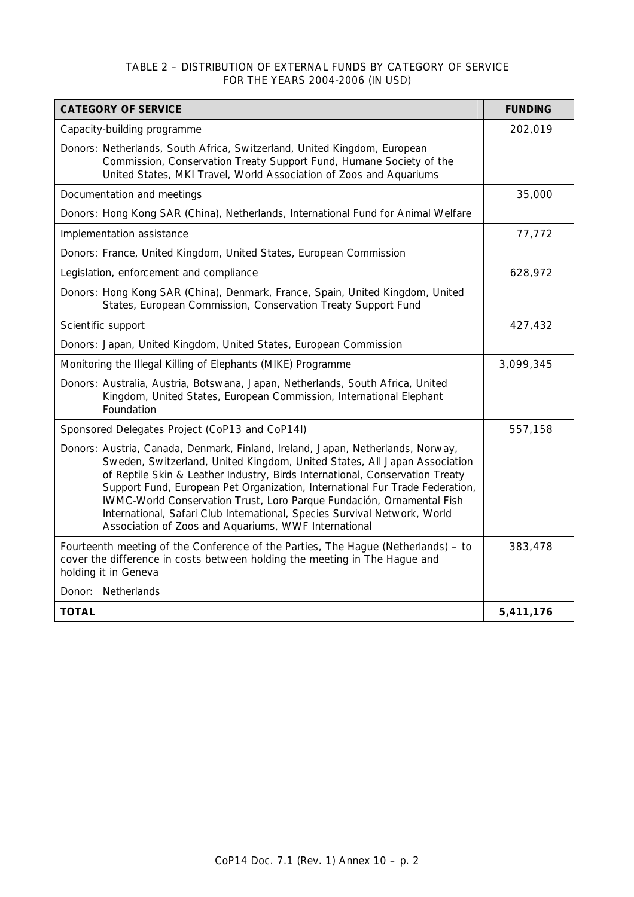# TABLE 2 – DISTRIBUTION OF EXTERNAL FUNDS BY CATEGORY OF SERVICE FOR THE YEARS 2004-2006 (IN USD)

| <b>CATEGORY OF SERVICE</b>                                                                                                                                                                                                                                                                                                                                                                                                                                                                                                                 | <b>FUNDING</b> |
|--------------------------------------------------------------------------------------------------------------------------------------------------------------------------------------------------------------------------------------------------------------------------------------------------------------------------------------------------------------------------------------------------------------------------------------------------------------------------------------------------------------------------------------------|----------------|
| Capacity-building programme                                                                                                                                                                                                                                                                                                                                                                                                                                                                                                                | 202,019        |
| Donors: Netherlands, South Africa, Switzerland, United Kingdom, European<br>Commission, Conservation Treaty Support Fund, Humane Society of the<br>United States, MKI Travel, World Association of Zoos and Aquariums                                                                                                                                                                                                                                                                                                                      |                |
| Documentation and meetings                                                                                                                                                                                                                                                                                                                                                                                                                                                                                                                 | 35,000         |
| Donors: Hong Kong SAR (China), Netherlands, International Fund for Animal Welfare                                                                                                                                                                                                                                                                                                                                                                                                                                                          |                |
| Implementation assistance                                                                                                                                                                                                                                                                                                                                                                                                                                                                                                                  | 77,772         |
| Donors: France, United Kingdom, United States, European Commission                                                                                                                                                                                                                                                                                                                                                                                                                                                                         |                |
| Legislation, enforcement and compliance                                                                                                                                                                                                                                                                                                                                                                                                                                                                                                    | 628,972        |
| Donors: Hong Kong SAR (China), Denmark, France, Spain, United Kingdom, United<br>States, European Commission, Conservation Treaty Support Fund                                                                                                                                                                                                                                                                                                                                                                                             |                |
| Scientific support                                                                                                                                                                                                                                                                                                                                                                                                                                                                                                                         | 427,432        |
| Donors: Japan, United Kingdom, United States, European Commission                                                                                                                                                                                                                                                                                                                                                                                                                                                                          |                |
| Monitoring the Illegal Killing of Elephants (MIKE) Programme                                                                                                                                                                                                                                                                                                                                                                                                                                                                               | 3,099,345      |
| Donors: Australia, Austria, Botswana, Japan, Netherlands, South Africa, United<br>Kingdom, United States, European Commission, International Elephant<br>Foundation                                                                                                                                                                                                                                                                                                                                                                        |                |
| Sponsored Delegates Project (CoP13 and CoP14I)                                                                                                                                                                                                                                                                                                                                                                                                                                                                                             | 557,158        |
| Donors: Austria, Canada, Denmark, Finland, Ireland, Japan, Netherlands, Norway,<br>Sweden, Switzerland, United Kingdom, United States, All Japan Association<br>of Reptile Skin & Leather Industry, Birds International, Conservation Treaty<br>Support Fund, European Pet Organization, International Fur Trade Federation,<br>IWMC-World Conservation Trust, Loro Parque Fundación, Ornamental Fish<br>International, Safari Club International, Species Survival Network, World<br>Association of Zoos and Aquariums, WWF International |                |
| Fourteenth meeting of the Conference of the Parties, The Hague (Netherlands) – to<br>cover the difference in costs between holding the meeting in The Hague and<br>holding it in Geneva                                                                                                                                                                                                                                                                                                                                                    | 383,478        |
| Donor: Netherlands                                                                                                                                                                                                                                                                                                                                                                                                                                                                                                                         |                |
| <b>TOTAL</b>                                                                                                                                                                                                                                                                                                                                                                                                                                                                                                                               | 5,411,176      |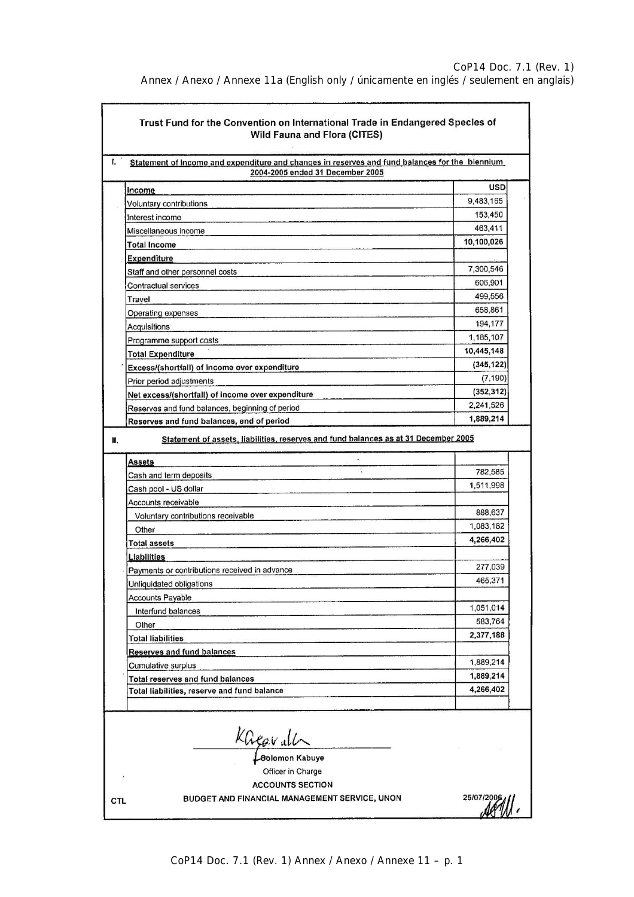Annex / Anexo / Annexe 11a (English only / únicamente en inglés / seulement en anglais)

| 2004-2005 ended 31 December 2005<br>Income<br>Voluntary contributions<br>Interest income<br>Miscellaneous income<br><b>Total Income</b><br>Expenditure<br>Staff and other personnel costs<br>Contractual services<br>Travel<br>Operating expenses<br>Acquisitions<br>Programme support costs<br><b>Total Expenditure</b><br>Excess/(shortfall) of income over expenditure<br>Prior period adjustments<br>(352, 312)<br>Net excess/(shortfall) of income over expenditure<br>Reserves and fund balances, beginning of period<br>Reserves and fund balances, end of period<br>Statement of assets, liabilities, reserves and fund balances as at 31 December 2005<br><b>Assets</b><br>Cash and term deposits<br>Cash pool - US dollar<br>Accounts receivable<br>Voluntary contributions receivable<br>Other<br><b>Total assets</b><br><b>Liabilities</b><br>Payments or contributions received in advance<br>Unliquidated obligations<br><b>Accounts Payable</b><br>Interfund balances<br>Other<br><b>Total liabilities</b><br><b>Reserves and fund balances</b><br>Cumulative surplus<br>Total reserves and fund balances<br>Total liabilities, reserve and fund balance |         | <b>USD</b><br>9,483,165<br>153,450<br>463,411<br>10,100,026<br>7,300,546<br>606,901<br>499,556<br>658,861<br>194,177<br>1,185,107<br>10,445,148<br>(345, 122)<br>(7, 190) |
|-------------------------------------------------------------------------------------------------------------------------------------------------------------------------------------------------------------------------------------------------------------------------------------------------------------------------------------------------------------------------------------------------------------------------------------------------------------------------------------------------------------------------------------------------------------------------------------------------------------------------------------------------------------------------------------------------------------------------------------------------------------------------------------------------------------------------------------------------------------------------------------------------------------------------------------------------------------------------------------------------------------------------------------------------------------------------------------------------------------------------------------------------------------------------|---------|---------------------------------------------------------------------------------------------------------------------------------------------------------------------------|
|                                                                                                                                                                                                                                                                                                                                                                                                                                                                                                                                                                                                                                                                                                                                                                                                                                                                                                                                                                                                                                                                                                                                                                         |         |                                                                                                                                                                           |
|                                                                                                                                                                                                                                                                                                                                                                                                                                                                                                                                                                                                                                                                                                                                                                                                                                                                                                                                                                                                                                                                                                                                                                         |         |                                                                                                                                                                           |
|                                                                                                                                                                                                                                                                                                                                                                                                                                                                                                                                                                                                                                                                                                                                                                                                                                                                                                                                                                                                                                                                                                                                                                         |         |                                                                                                                                                                           |
|                                                                                                                                                                                                                                                                                                                                                                                                                                                                                                                                                                                                                                                                                                                                                                                                                                                                                                                                                                                                                                                                                                                                                                         |         |                                                                                                                                                                           |
|                                                                                                                                                                                                                                                                                                                                                                                                                                                                                                                                                                                                                                                                                                                                                                                                                                                                                                                                                                                                                                                                                                                                                                         |         |                                                                                                                                                                           |
|                                                                                                                                                                                                                                                                                                                                                                                                                                                                                                                                                                                                                                                                                                                                                                                                                                                                                                                                                                                                                                                                                                                                                                         |         |                                                                                                                                                                           |
|                                                                                                                                                                                                                                                                                                                                                                                                                                                                                                                                                                                                                                                                                                                                                                                                                                                                                                                                                                                                                                                                                                                                                                         |         |                                                                                                                                                                           |
|                                                                                                                                                                                                                                                                                                                                                                                                                                                                                                                                                                                                                                                                                                                                                                                                                                                                                                                                                                                                                                                                                                                                                                         |         |                                                                                                                                                                           |
|                                                                                                                                                                                                                                                                                                                                                                                                                                                                                                                                                                                                                                                                                                                                                                                                                                                                                                                                                                                                                                                                                                                                                                         |         |                                                                                                                                                                           |
|                                                                                                                                                                                                                                                                                                                                                                                                                                                                                                                                                                                                                                                                                                                                                                                                                                                                                                                                                                                                                                                                                                                                                                         |         |                                                                                                                                                                           |
|                                                                                                                                                                                                                                                                                                                                                                                                                                                                                                                                                                                                                                                                                                                                                                                                                                                                                                                                                                                                                                                                                                                                                                         |         |                                                                                                                                                                           |
|                                                                                                                                                                                                                                                                                                                                                                                                                                                                                                                                                                                                                                                                                                                                                                                                                                                                                                                                                                                                                                                                                                                                                                         |         |                                                                                                                                                                           |
|                                                                                                                                                                                                                                                                                                                                                                                                                                                                                                                                                                                                                                                                                                                                                                                                                                                                                                                                                                                                                                                                                                                                                                         |         |                                                                                                                                                                           |
|                                                                                                                                                                                                                                                                                                                                                                                                                                                                                                                                                                                                                                                                                                                                                                                                                                                                                                                                                                                                                                                                                                                                                                         |         |                                                                                                                                                                           |
|                                                                                                                                                                                                                                                                                                                                                                                                                                                                                                                                                                                                                                                                                                                                                                                                                                                                                                                                                                                                                                                                                                                                                                         |         |                                                                                                                                                                           |
|                                                                                                                                                                                                                                                                                                                                                                                                                                                                                                                                                                                                                                                                                                                                                                                                                                                                                                                                                                                                                                                                                                                                                                         |         |                                                                                                                                                                           |
|                                                                                                                                                                                                                                                                                                                                                                                                                                                                                                                                                                                                                                                                                                                                                                                                                                                                                                                                                                                                                                                                                                                                                                         |         | 2,241,526                                                                                                                                                                 |
|                                                                                                                                                                                                                                                                                                                                                                                                                                                                                                                                                                                                                                                                                                                                                                                                                                                                                                                                                                                                                                                                                                                                                                         |         | 1,889,214                                                                                                                                                                 |
|                                                                                                                                                                                                                                                                                                                                                                                                                                                                                                                                                                                                                                                                                                                                                                                                                                                                                                                                                                                                                                                                                                                                                                         |         |                                                                                                                                                                           |
|                                                                                                                                                                                                                                                                                                                                                                                                                                                                                                                                                                                                                                                                                                                                                                                                                                                                                                                                                                                                                                                                                                                                                                         |         | 782,585                                                                                                                                                                   |
|                                                                                                                                                                                                                                                                                                                                                                                                                                                                                                                                                                                                                                                                                                                                                                                                                                                                                                                                                                                                                                                                                                                                                                         |         | 1,511,998                                                                                                                                                                 |
|                                                                                                                                                                                                                                                                                                                                                                                                                                                                                                                                                                                                                                                                                                                                                                                                                                                                                                                                                                                                                                                                                                                                                                         |         |                                                                                                                                                                           |
|                                                                                                                                                                                                                                                                                                                                                                                                                                                                                                                                                                                                                                                                                                                                                                                                                                                                                                                                                                                                                                                                                                                                                                         |         | 888,637                                                                                                                                                                   |
|                                                                                                                                                                                                                                                                                                                                                                                                                                                                                                                                                                                                                                                                                                                                                                                                                                                                                                                                                                                                                                                                                                                                                                         |         | 1,083,182                                                                                                                                                                 |
|                                                                                                                                                                                                                                                                                                                                                                                                                                                                                                                                                                                                                                                                                                                                                                                                                                                                                                                                                                                                                                                                                                                                                                         |         | 4,266,402                                                                                                                                                                 |
|                                                                                                                                                                                                                                                                                                                                                                                                                                                                                                                                                                                                                                                                                                                                                                                                                                                                                                                                                                                                                                                                                                                                                                         |         |                                                                                                                                                                           |
|                                                                                                                                                                                                                                                                                                                                                                                                                                                                                                                                                                                                                                                                                                                                                                                                                                                                                                                                                                                                                                                                                                                                                                         |         | 277,039                                                                                                                                                                   |
|                                                                                                                                                                                                                                                                                                                                                                                                                                                                                                                                                                                                                                                                                                                                                                                                                                                                                                                                                                                                                                                                                                                                                                         |         | 465,371                                                                                                                                                                   |
|                                                                                                                                                                                                                                                                                                                                                                                                                                                                                                                                                                                                                                                                                                                                                                                                                                                                                                                                                                                                                                                                                                                                                                         |         |                                                                                                                                                                           |
|                                                                                                                                                                                                                                                                                                                                                                                                                                                                                                                                                                                                                                                                                                                                                                                                                                                                                                                                                                                                                                                                                                                                                                         |         | 1,051,014                                                                                                                                                                 |
|                                                                                                                                                                                                                                                                                                                                                                                                                                                                                                                                                                                                                                                                                                                                                                                                                                                                                                                                                                                                                                                                                                                                                                         |         | 583,764                                                                                                                                                                   |
|                                                                                                                                                                                                                                                                                                                                                                                                                                                                                                                                                                                                                                                                                                                                                                                                                                                                                                                                                                                                                                                                                                                                                                         |         | 2,377,188                                                                                                                                                                 |
|                                                                                                                                                                                                                                                                                                                                                                                                                                                                                                                                                                                                                                                                                                                                                                                                                                                                                                                                                                                                                                                                                                                                                                         |         |                                                                                                                                                                           |
|                                                                                                                                                                                                                                                                                                                                                                                                                                                                                                                                                                                                                                                                                                                                                                                                                                                                                                                                                                                                                                                                                                                                                                         |         | 1,889,214                                                                                                                                                                 |
|                                                                                                                                                                                                                                                                                                                                                                                                                                                                                                                                                                                                                                                                                                                                                                                                                                                                                                                                                                                                                                                                                                                                                                         |         | 1,889,214                                                                                                                                                                 |
|                                                                                                                                                                                                                                                                                                                                                                                                                                                                                                                                                                                                                                                                                                                                                                                                                                                                                                                                                                                                                                                                                                                                                                         |         | 4,266,402                                                                                                                                                                 |
|                                                                                                                                                                                                                                                                                                                                                                                                                                                                                                                                                                                                                                                                                                                                                                                                                                                                                                                                                                                                                                                                                                                                                                         | KGevall |                                                                                                                                                                           |
| Officer in Charge                                                                                                                                                                                                                                                                                                                                                                                                                                                                                                                                                                                                                                                                                                                                                                                                                                                                                                                                                                                                                                                                                                                                                       |         |                                                                                                                                                                           |

CoP14 Doc. 7.1 (Rev. 1) Annex / Anexo / Annexe 11 – p. 1